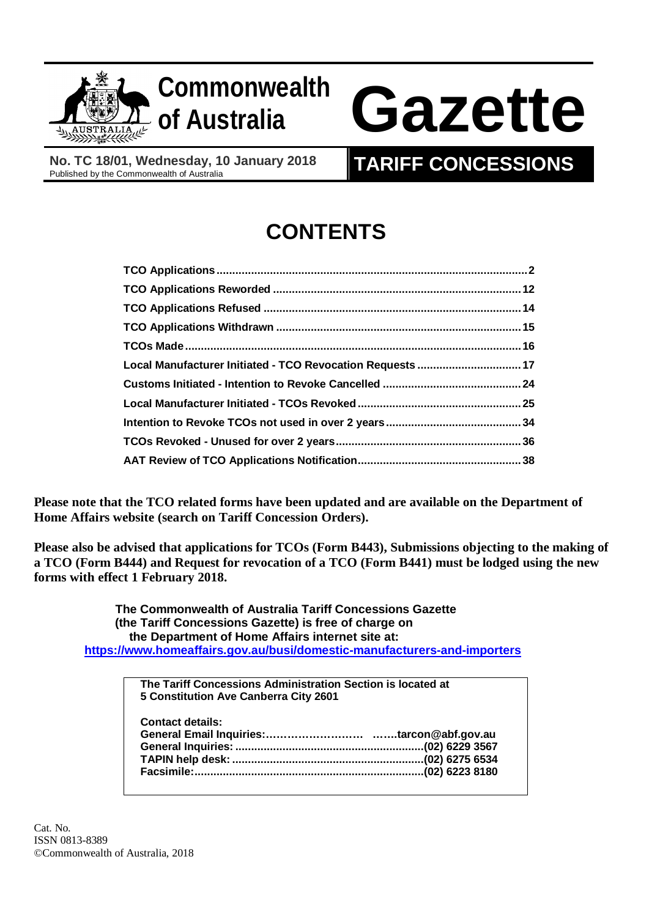

## **Commonwealth**

# **of Australia Gazette**

**No. TC 18/01, Wednesday, 10 January 2018**

### **TARIFF CONCESSIONS**

## **CONTENTS**

| Local Manufacturer Initiated - TCO Revocation Requests  17 |  |
|------------------------------------------------------------|--|
|                                                            |  |
|                                                            |  |
|                                                            |  |
|                                                            |  |
|                                                            |  |

**Please note that the TCO related forms have been updated and are available on the Department of Home Affairs website (search on Tariff Concession Orders).**

**Please also be advised that applications for TCOs (Form B443), Submissions objecting to the making of a TCO (Form B444) and Request for revocation of a TCO (Form B441) must be lodged using the new forms with effect 1 February 2018.**

 **The Commonwealth of Australia Tariff Concessions Gazette (the Tariff Concessions Gazette) is free of charge on the Department of Home Affairs internet site at: <https://www.homeaffairs.gov.au/busi/domestic-manufacturers-and-importers>**

| The Tariff Concessions Administration Section is located at<br>5 Constitution Ave Canberra City 2601 |  |
|------------------------------------------------------------------------------------------------------|--|
| <b>Contact details:</b>                                                                              |  |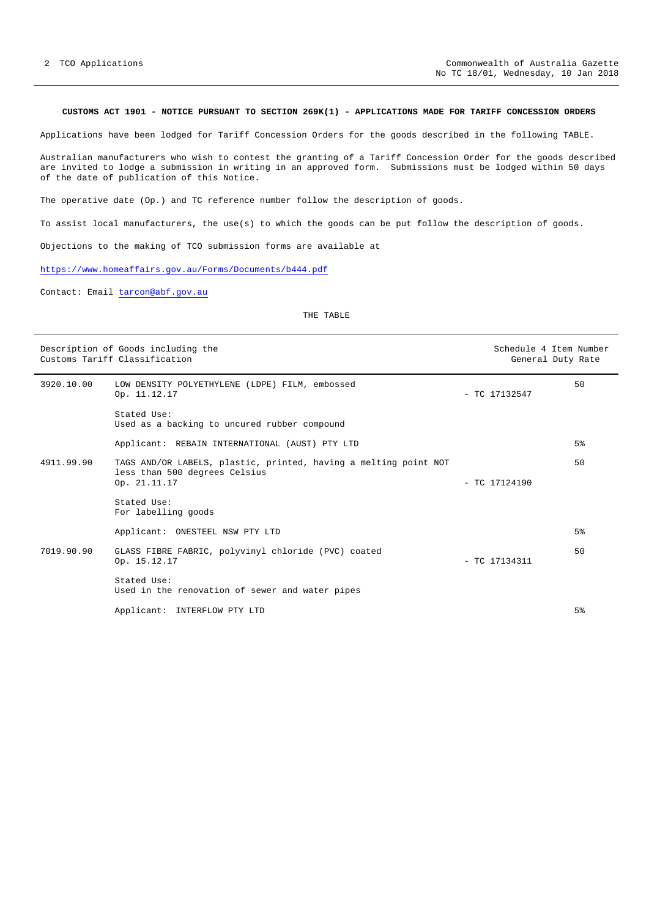#### <span id="page-1-0"></span>**CUSTOMS ACT 1901 - NOTICE PURSUANT TO SECTION 269K(1) - APPLICATIONS MADE FOR TARIFF CONCESSION ORDERS**

Applications have been lodged for Tariff Concession Orders for the goods described in the following TABLE.

Australian manufacturers who wish to contest the granting of a Tariff Concession Order for the goods described are invited to lodge a submission in writing in an approved form. Submissions must be lodged within 50 days of the date of publication of this Notice.

The operative date (Op.) and TC reference number follow the description of goods.

To assist local manufacturers, the use(s) to which the goods can be put follow the description of goods.

Objections to the making of TCO submission forms are available at

<https://www.homeaffairs.gov.au/Forms/Documents/b444.pdf>

Contact: Email [tarcon@abf.gov.au](mailto:tarcon@abf.gov.au) 

| Description of Goods including the<br>Customs Tariff Classification |                                                                                                                   | Schedule 4 Item Number<br>General Duty Rate |                |
|---------------------------------------------------------------------|-------------------------------------------------------------------------------------------------------------------|---------------------------------------------|----------------|
| 3920.10.00                                                          | LOW DENSITY POLYETHYLENE (LDPE) FILM, embossed<br>Op. 11.12.17                                                    | $-$ TC 17132547                             | 50             |
|                                                                     | Stated Use:<br>Used as a backing to uncured rubber compound                                                       |                                             |                |
|                                                                     | Applicant: REBAIN INTERNATIONAL (AUST) PTY LTD                                                                    |                                             | 5 <sup>°</sup> |
| 4911.99.90                                                          | TAGS AND/OR LABELS, plastic, printed, having a melting point NOT<br>less than 500 degrees Celsius<br>Op. 21.11.17 | $-$ TC 17124190                             | 50             |
|                                                                     | Stated Use:<br>For labelling goods                                                                                |                                             |                |
|                                                                     | Applicant: ONESTEEL NSW PTY LTD                                                                                   |                                             | 5 <sup>°</sup> |
| 7019.90.90                                                          | GLASS FIBRE FABRIC, polyvinyl chloride (PVC) coated<br>Op. 15.12.17                                               | $-$ TC 17134311                             | 50             |
|                                                                     | Stated Use:<br>Used in the renovation of sewer and water pipes                                                    |                                             |                |
|                                                                     | Applicant:<br>INTERFLOW PTY LTD                                                                                   |                                             | 5 <sup>8</sup> |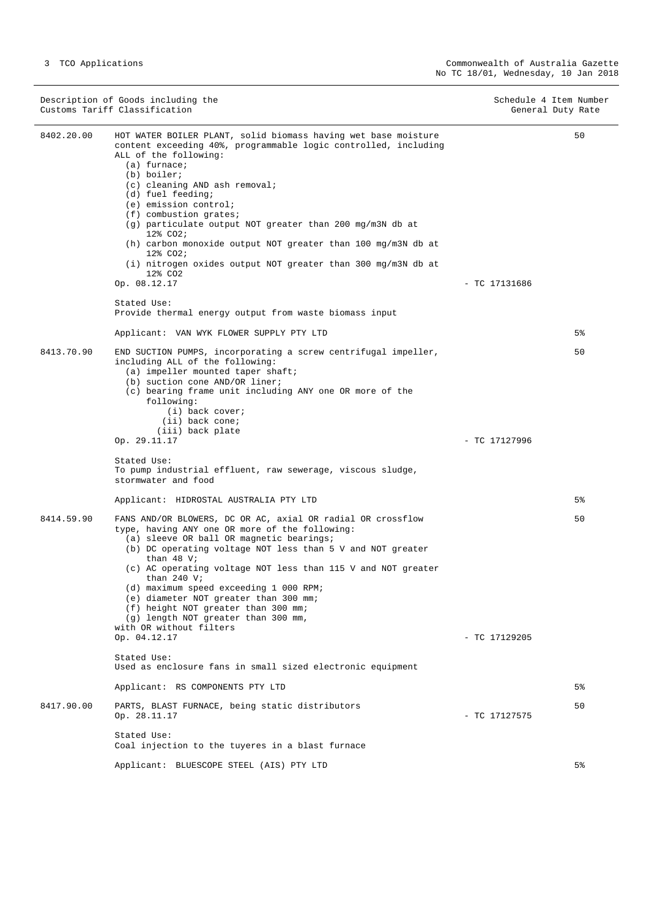Description of Goods including the Schedule 4 Item Number<br>
Customs Tariff Classification General Duty Rate Customs Tariff Classification 8402.20.00 HOT WATER BOILER PLANT, solid biomass having wet base moisture content exceeding 40%, programmable logic controlled, including ALL of the following: (a) furnace; (b) boiler; (c) cleaning AND ash removal; (d) fuel feeding; (e) emission control; (f) combustion grates; (g) particulate output NOT greater than 200 mg/m3N db at 12% CO2; (h) carbon monoxide output NOT greater than 100 mg/m3N db at 12% CO2; (i) nitrogen oxides output NOT greater than 300 mg/m3N db at  $12$ % CO<sub>2</sub><br>Op. 08.12.17  $-$  TC 17131686 Stated Use: Provide thermal energy output from waste biomass input Applicant: VAN WYK FLOWER SUPPLY PTY LTD 50 5% 8413.70.90 END SUCTION PUMPS, incorporating a screw centrifugal impeller, including ALL of the following: (a) impeller mounted taper shaft; (b) suction cone AND/OR liner; (c) bearing frame unit including ANY one OR more of the following: (i) back cover; (ii) back cone;  $(iii)$  back plate<br>Op. 29.11.17  $-$  TC 17127996 Stated Use: To pump industrial effluent, raw sewerage, viscous sludge, stormwater and food Applicant: HIDROSTAL AUSTRALIA PTY LTD 50 5% 8414.59.90 FANS AND/OR BLOWERS, DC OR AC, axial OR radial OR crossflow type, having ANY one OR more of the following: (a) sleeve OR ball OR magnetic bearings; (b) DC operating voltage NOT less than 5 V and NOT greater than 48 V; (c) AC operating voltage NOT less than 115 V and NOT greater than 240 V; (d) maximum speed exceeding 1 000 RPM; (e) diameter NOT greater than 300 mm; (f) height NOT greater than 300 mm; (g) length NOT greater than 300 mm, with OR without filters Op. 04.12.17 - TC 17129205 Stated Use: Used as enclosure fans in small sized electronic equipment Applicant: RS COMPONENTS PTY LTD 50 5% 8417.90.00 PARTS, BLAST FURNACE, being static distributors<br>Op. 28.11.17  $-$  TC 17127575 Stated Use: Coal injection to the tuyeres in a blast furnace Applicant: BLUESCOPE STEEL (AIS) PTY LTD 50 5%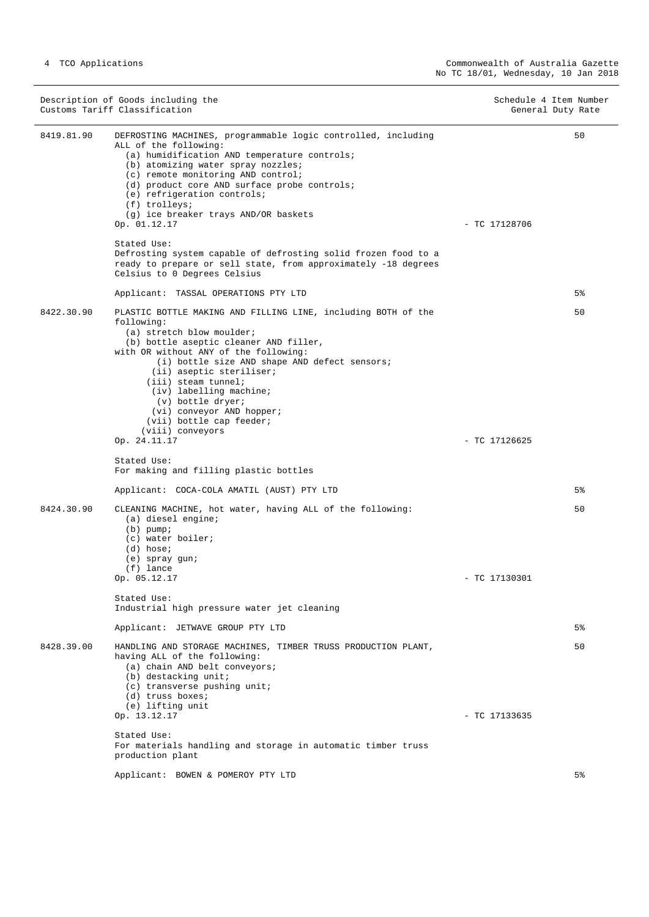Description of Goods including the Schedule 4 Item Number<br>
Customs Tariff Classification General Duty Rate Customs Tariff Classification 8419.81.90 DEFROSTING MACHINES, programmable logic controlled, including ALL of the following: (a) humidification AND temperature controls; (b) atomizing water spray nozzles; (c) remote monitoring AND control; (d) product core AND surface probe controls; (e) refrigeration controls; (f) trolleys; (g) ice breaker trays AND/OR baskets Op. 01.12.17 - TC 17128706 Stated Use: Defrosting system capable of defrosting solid frozen food to a ready to prepare or sell state, from approximately -18 degrees Celsius to 0 Degrees Celsius Applicant: TASSAL OPERATIONS PTY LTD 50 5% 8422.30.90 PLASTIC BOTTLE MAKING AND FILLING LINE, including BOTH of the following: (a) stretch blow moulder; (b) bottle aseptic cleaner AND filler, with OR without ANY of the following: (i) bottle size AND shape AND defect sensors; (ii) aseptic steriliser; (iii) steam tunnel; (iv) labelling machine; (v) bottle dryer; (vi) conveyor AND hopper; (vii) bottle cap feeder;  $(viii)$  conveyors<br>Op. 24.11.17  $-$  TC 17126625 Stated Use: For making and filling plastic bottles Applicant: COCA-COLA AMATIL (AUST) PTY LTD 50 5% 8424.30.90 CLEANING MACHINE, hot water, having ALL of the following: (a) diesel engine; (b) pump; (c) water boiler;  $(d)$  hose; (e) spray gun;  $(f)$  lance<br>Op. 05.12.17 - TC 17130301 Stated Use: Industrial high pressure water jet cleaning Applicant: JETWAVE GROUP PTY LTD 50 5% 8428.39.00 HANDLING AND STORAGE MACHINES, TIMBER TRUSS PRODUCTION PLANT, having ALL of the following: (a) chain AND belt conveyors; (b) destacking unit; (c) transverse pushing unit; (d) truss boxes; (e) lifting unit<br>Op.  $13.12.17$  $-$  TC 17133635 Stated Use: For materials handling and storage in automatic timber truss production plant Applicant: BOWEN & POMEROY PTY LTD 50 5%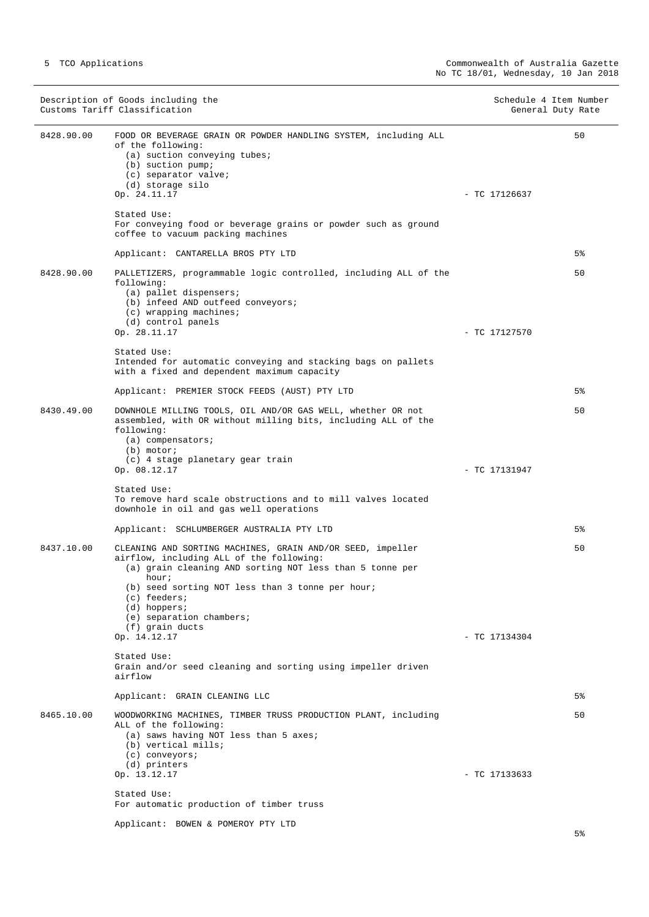|            | Description of Goods including the<br>Customs Tariff Classification                                                                                                                                                                                                                                              |                 | Schedule 4 Item Number<br>General Duty Rate |
|------------|------------------------------------------------------------------------------------------------------------------------------------------------------------------------------------------------------------------------------------------------------------------------------------------------------------------|-----------------|---------------------------------------------|
| 8428.90.00 | FOOD OR BEVERAGE GRAIN OR POWDER HANDLING SYSTEM, including ALL<br>of the following:<br>$(a)$ suction conveying tubes;<br>(b) suction pump;<br>(c) separator valve;<br>(d) storage silo<br>Op. 24.11.17                                                                                                          | $-$ TC 17126637 | 50                                          |
|            | Stated Use:<br>For conveying food or beverage grains or powder such as ground<br>coffee to vacuum packing machines                                                                                                                                                                                               |                 |                                             |
|            | Applicant: CANTARELLA BROS PTY LTD                                                                                                                                                                                                                                                                               |                 | 5%                                          |
| 8428.90.00 | PALLETIZERS, programmable logic controlled, including ALL of the<br>following:<br>(a) pallet dispensers;<br>(b) infeed AND outfeed conveyors;<br>$(c)$ wrapping machines;<br>(d) control panels                                                                                                                  |                 | 50                                          |
|            | Op. 28.11.17<br>Stated Use:<br>Intended for automatic conveying and stacking bags on pallets<br>with a fixed and dependent maximum capacity                                                                                                                                                                      | - TC 17127570   |                                             |
|            | Applicant: PREMIER STOCK FEEDS (AUST) PTY LTD                                                                                                                                                                                                                                                                    |                 | 5%                                          |
| 8430.49.00 | DOWNHOLE MILLING TOOLS, OIL AND/OR GAS WELL, whether OR not<br>assembled, with OR without milling bits, including ALL of the<br>following:<br>$(a)$ compensators;<br>$(b)$ motor;                                                                                                                                |                 | 50                                          |
|            | (c) 4 stage planetary gear train<br>Op. 08.12.17<br>Stated Use:<br>To remove hard scale obstructions and to mill valves located<br>downhole in oil and gas well operations                                                                                                                                       | - TC 17131947   | 5%                                          |
|            | Applicant: SCHLUMBERGER AUSTRALIA PTY LTD                                                                                                                                                                                                                                                                        |                 |                                             |
| 8437.10.00 | CLEANING AND SORTING MACHINES, GRAIN AND/OR SEED, impeller<br>airflow, including ALL of the following:<br>(a) grain cleaning AND sorting NOT less than 5 tonne per<br>hour;<br>(b) seed sorting NOT less than 3 tonne per hour;<br>(c) feeders;<br>$(d)$ hoppers;<br>(e) separation chambers;<br>(f) grain ducts |                 | 50                                          |
|            | Op. 14.12.17                                                                                                                                                                                                                                                                                                     | $-$ TC 17134304 |                                             |
|            | Stated Use:<br>Grain and/or seed cleaning and sorting using impeller driven<br>airflow                                                                                                                                                                                                                           |                 |                                             |
|            | Applicant: GRAIN CLEANING LLC                                                                                                                                                                                                                                                                                    |                 | 5%                                          |
| 8465.10.00 | WOODWORKING MACHINES, TIMBER TRUSS PRODUCTION PLANT, including<br>ALL of the following:<br>(a) saws having NOT less than 5 axes;<br>(b) vertical mills;<br>(c) conveyors;<br>(d) printers                                                                                                                        |                 | 50                                          |
|            | Op. 13.12.17<br>Stated Use:                                                                                                                                                                                                                                                                                      | $-$ TC 17133633 |                                             |
|            | For automatic production of timber truss                                                                                                                                                                                                                                                                         |                 |                                             |
|            | Applicant: BOWEN & POMEROY PTY LTD                                                                                                                                                                                                                                                                               |                 |                                             |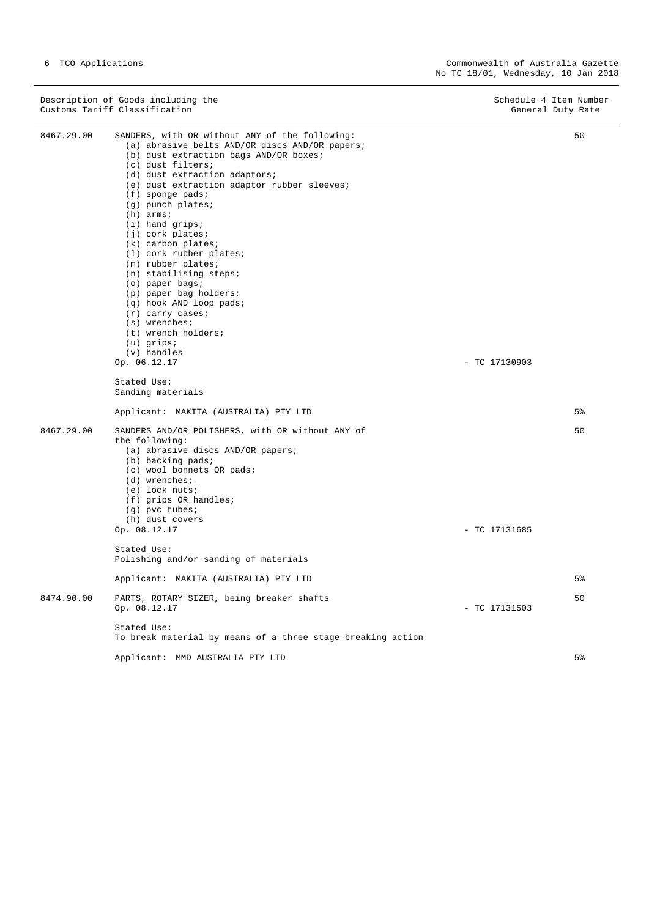| Description of Goods including the | Schedule 4 Item Number |  |
|------------------------------------|------------------------|--|
| Customs Tariff Classification      | General Duty Rate      |  |

J.

| 8467.29.00 | SANDERS, with OR without ANY of the following:<br>(a) abrasive belts AND/OR discs AND/OR papers;<br>(b) dust extraction bags AND/OR boxes;<br>(c) dust filters;<br>(d) dust extraction adaptors;<br>(e) dust extraction adaptor rubber sleeves;<br>$(f)$ sponge pads;<br>(g) punch plates;<br>$(h)$ arms;<br>$(i)$ hand grips;<br>$(j)$ cork plates;<br>$(k)$ carbon plates;<br>(1) cork rubber plates;<br>$(m)$ rubber plates;<br>$(n)$ stabilising steps;<br>(o) paper bags;<br>(p) paper bag holders;<br>(q) hook AND loop pads;<br>$(r)$ carry cases;<br>$(s)$ wrenches;<br>(t) wrench holders;<br>$(u)$ qrips;<br>$(v)$ handles<br>Op. 06.12.17<br>Stated Use: | $-$ TC 17130903 | 50             |
|------------|---------------------------------------------------------------------------------------------------------------------------------------------------------------------------------------------------------------------------------------------------------------------------------------------------------------------------------------------------------------------------------------------------------------------------------------------------------------------------------------------------------------------------------------------------------------------------------------------------------------------------------------------------------------------|-----------------|----------------|
|            | Sanding materials                                                                                                                                                                                                                                                                                                                                                                                                                                                                                                                                                                                                                                                   |                 |                |
|            | Applicant: MAKITA (AUSTRALIA) PTY LTD                                                                                                                                                                                                                                                                                                                                                                                                                                                                                                                                                                                                                               |                 | 5%             |
| 8467.29.00 | SANDERS AND/OR POLISHERS, with OR without ANY of<br>the following:<br>(a) abrasive discs AND/OR papers;<br>(b) backing pads;<br>(c) wool bonnets OR pads;<br>(d) wrenches;<br>$(e)$ lock nuts;<br>$(f)$ grips OR handles;<br>$(g)$ pvc tubes;<br>(h) dust covers<br>Op. 08.12.17                                                                                                                                                                                                                                                                                                                                                                                    | $-$ TC 17131685 | 50             |
|            | Stated Use:                                                                                                                                                                                                                                                                                                                                                                                                                                                                                                                                                                                                                                                         |                 |                |
|            | Polishing and/or sanding of materials                                                                                                                                                                                                                                                                                                                                                                                                                                                                                                                                                                                                                               |                 |                |
|            | Applicant: MAKITA (AUSTRALIA) PTY LTD                                                                                                                                                                                                                                                                                                                                                                                                                                                                                                                                                                                                                               |                 | 5 <sup>8</sup> |
| 8474.90.00 | PARTS, ROTARY SIZER, being breaker shafts<br>Op. 08.12.17                                                                                                                                                                                                                                                                                                                                                                                                                                                                                                                                                                                                           | $-$ TC 17131503 | 50             |
|            | Stated Use:<br>To break material by means of a three stage breaking action                                                                                                                                                                                                                                                                                                                                                                                                                                                                                                                                                                                          |                 |                |
|            | Applicant: MMD AUSTRALIA PTY LTD                                                                                                                                                                                                                                                                                                                                                                                                                                                                                                                                                                                                                                    |                 | 5 <sup>8</sup> |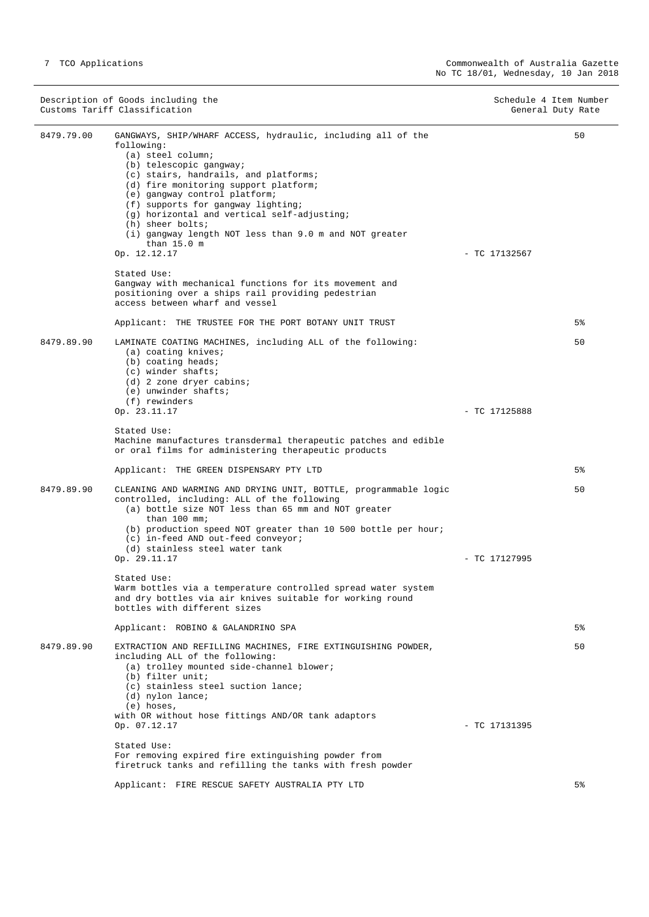|            | Description of Goods including the<br>Customs Tariff Classification                                                                                                                                                                                                                                                                                                                                                                                                                                                            | Schedule 4 Item Number<br>General Duty Rate |
|------------|--------------------------------------------------------------------------------------------------------------------------------------------------------------------------------------------------------------------------------------------------------------------------------------------------------------------------------------------------------------------------------------------------------------------------------------------------------------------------------------------------------------------------------|---------------------------------------------|
| 8479.79.00 | GANGWAYS, SHIP/WHARF ACCESS, hydraulic, including all of the<br>following:<br>(a) steel column;<br>(b) telescopic gangway;<br>(c) stairs, handrails, and platforms;<br>(d) fire monitoring support platform;<br>(e) gangway control platform;<br>(f) supports for gangway lighting;<br>(g) horizontal and vertical self-adjusting;<br>(h) sheer bolts;<br>(i) gangway length NOT less than 9.0 m and NOT greater<br>than $15.0$ m<br>Op. 12.12.17                                                                              | 50<br>$-$ TC 17132567                       |
|            | Stated Use:<br>Gangway with mechanical functions for its movement and<br>positioning over a ships rail providing pedestrian<br>access between wharf and vessel<br>Applicant: THE TRUSTEE FOR THE PORT BOTANY UNIT TRUST                                                                                                                                                                                                                                                                                                        | 5%                                          |
| 8479.89.90 | LAMINATE COATING MACHINES, including ALL of the following:<br>$(a)$ coating knives;<br>$(b)$ coating heads;<br>$(c)$ winder shafts;<br>(d) 2 zone dryer cabins;<br>(e) unwinder shafts;<br>(f) rewinders                                                                                                                                                                                                                                                                                                                       | 50                                          |
|            | Op. 23.11.17<br>Stated Use:<br>Machine manufactures transdermal therapeutic patches and edible<br>or oral films for administering therapeutic products<br>Applicant: THE GREEN DISPENSARY PTY LTD                                                                                                                                                                                                                                                                                                                              | $-$ TC 17125888<br>5%                       |
| 8479.89.90 | CLEANING AND WARMING AND DRYING UNIT, BOTTLE, programmable logic<br>controlled, including: ALL of the following<br>(a) bottle size NOT less than 65 mm and NOT greater<br>than $100$ mm;<br>(b) production speed NOT greater than 10 500 bottle per hour;<br>(c) in-feed AND out-feed conveyor;<br>(d) stainless steel water tank<br>Op. 29.11.17<br>Stated Use:<br>Warm bottles via a temperature controlled spread water system<br>and dry bottles via air knives suitable for working round<br>bottles with different sizes | 50<br>$-$ TC 17127995<br>5 <sup>°</sup>     |
| 8479.89.90 | Applicant: ROBINO & GALANDRINO SPA<br>EXTRACTION AND REFILLING MACHINES, FIRE EXTINGUISHING POWDER,<br>including ALL of the following:<br>(a) trolley mounted side-channel blower;<br>(b) filter unit;<br>(c) stainless steel suction lance;<br>$(d)$ nylon lance;<br>$(e)$ hoses,<br>with OR without hose fittings AND/OR tank adaptors<br>Op. 07.12.17<br>Stated Use:<br>For removing expired fire extinguishing powder from<br>firetruck tanks and refilling the tanks with fresh powder                                    | 50<br>$-$ TC 17131395                       |
|            | Applicant: FIRE RESCUE SAFETY AUSTRALIA PTY LTD                                                                                                                                                                                                                                                                                                                                                                                                                                                                                | 5%                                          |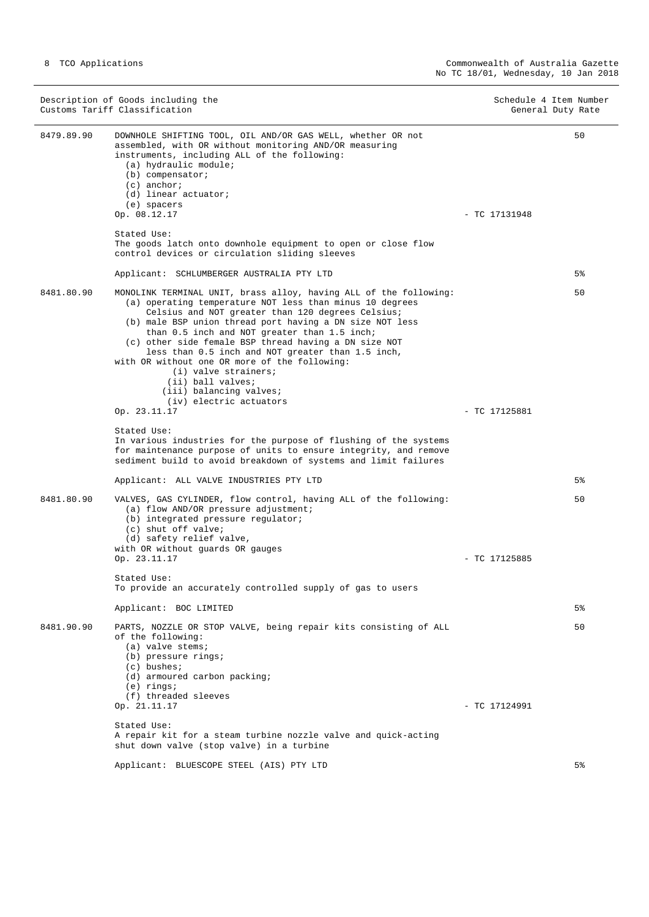|            | Description of Goods including the<br>Customs Tariff Classification                                                                                                                                                                                                                                                                                                                                                                                                                                                                                              | Schedule 4 Item Number<br>General Duty Rate |                |
|------------|------------------------------------------------------------------------------------------------------------------------------------------------------------------------------------------------------------------------------------------------------------------------------------------------------------------------------------------------------------------------------------------------------------------------------------------------------------------------------------------------------------------------------------------------------------------|---------------------------------------------|----------------|
| 8479.89.90 | DOWNHOLE SHIFTING TOOL, OIL AND/OR GAS WELL, whether OR not<br>assembled, with OR without monitoring AND/OR measuring<br>instruments, including ALL of the following:<br>(a) hydraulic module;<br>$(b)$ compensator;<br>$(c)$ anchor;<br>(d) linear actuator;<br>(e) spacers<br>Op. 08.12.17                                                                                                                                                                                                                                                                     | $-$ TC 17131948                             | 50             |
|            | Stated Use:<br>The goods latch onto downhole equipment to open or close flow<br>control devices or circulation sliding sleeves                                                                                                                                                                                                                                                                                                                                                                                                                                   |                                             |                |
|            | Applicant: SCHLUMBERGER AUSTRALIA PTY LTD                                                                                                                                                                                                                                                                                                                                                                                                                                                                                                                        |                                             | 5%             |
| 8481.80.90 | MONOLINK TERMINAL UNIT, brass alloy, having ALL of the following:<br>(a) operating temperature NOT less than minus 10 degrees<br>Celsius and NOT greater than 120 degrees Celsius;<br>(b) male BSP union thread port having a DN size NOT less<br>than 0.5 inch and NOT greater than 1.5 inch;<br>(c) other side female BSP thread having a DN size NOT<br>less than 0.5 inch and NOT greater than 1.5 inch,<br>with OR without one OR more of the following:<br>(i) valve strainers;<br>(ii) ball valves;<br>(iii) balancing valves;<br>(iv) electric actuators |                                             | 50             |
|            | Op. 23.11.17                                                                                                                                                                                                                                                                                                                                                                                                                                                                                                                                                     | $-$ TC 17125881                             |                |
|            | Stated Use:<br>In various industries for the purpose of flushing of the systems<br>for maintenance purpose of units to ensure integrity, and remove<br>sediment build to avoid breakdown of systems and limit failures                                                                                                                                                                                                                                                                                                                                           |                                             |                |
|            | Applicant: ALL VALVE INDUSTRIES PTY LTD                                                                                                                                                                                                                                                                                                                                                                                                                                                                                                                          |                                             | 5%             |
| 8481.80.90 | VALVES, GAS CYLINDER, flow control, having ALL of the following:<br>(a) flow AND/OR pressure adjustment;<br>(b) integrated pressure regulator;<br>(c) shut off valve;<br>(d) safety relief valve,<br>with OR without guards OR gauges<br>Op. 23.11.17                                                                                                                                                                                                                                                                                                            | $-$ TC 17125885                             | 50             |
|            | Stated Use:                                                                                                                                                                                                                                                                                                                                                                                                                                                                                                                                                      |                                             |                |
|            | To provide an accurately controlled supply of gas to users                                                                                                                                                                                                                                                                                                                                                                                                                                                                                                       |                                             | 5 <sup>°</sup> |
| 8481.90.90 | Applicant: BOC LIMITED<br>PARTS, NOZZLE OR STOP VALVE, being repair kits consisting of ALL<br>of the following:<br>$(a)$ valve stems;<br>(b) pressure rings;<br>$(c)$ bushes;<br>(d) armoured carbon packing;<br>$(e)$ rings;<br>(f) threaded sleeves                                                                                                                                                                                                                                                                                                            |                                             | 50             |
|            | Op. 21.11.17                                                                                                                                                                                                                                                                                                                                                                                                                                                                                                                                                     | - TC 17124991                               |                |
|            | Stated Use:<br>A repair kit for a steam turbine nozzle valve and quick-acting<br>shut down valve (stop valve) in a turbine                                                                                                                                                                                                                                                                                                                                                                                                                                       |                                             |                |
|            | Applicant: BLUESCOPE STEEL (AIS) PTY LTD                                                                                                                                                                                                                                                                                                                                                                                                                                                                                                                         |                                             | 5%             |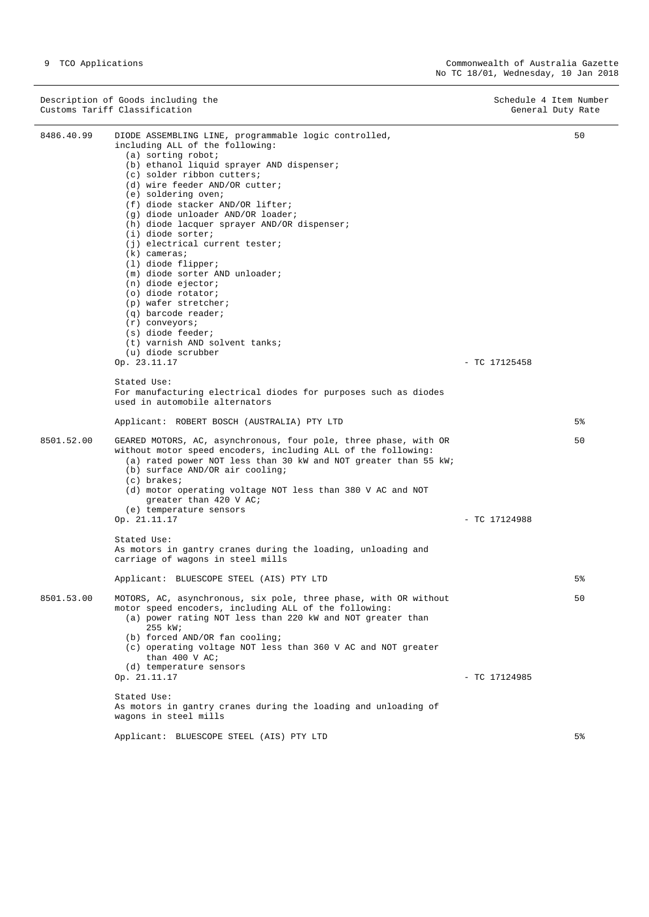|            | Description of Goods including the<br>Customs Tariff Classification                                                                                                                                                                                                                                                                                                                                                                                                                                                                                                                                                                                                                                                                                                                                                                                 | Schedule 4 Item Number<br>General Duty Rate |
|------------|-----------------------------------------------------------------------------------------------------------------------------------------------------------------------------------------------------------------------------------------------------------------------------------------------------------------------------------------------------------------------------------------------------------------------------------------------------------------------------------------------------------------------------------------------------------------------------------------------------------------------------------------------------------------------------------------------------------------------------------------------------------------------------------------------------------------------------------------------------|---------------------------------------------|
| 8486.40.99 | DIODE ASSEMBLING LINE, programmable logic controlled,<br>including ALL of the following:<br>$(a)$ sorting robot;<br>(b) ethanol liquid sprayer AND dispenser;<br>(c) solder ribbon cutters;<br>(d) wire feeder AND/OR cutter;<br>(e) soldering oven;<br>(f) diode stacker AND/OR lifter;<br>(g) diode unloader AND/OR loader;<br>(h) diode lacquer sprayer AND/OR dispenser;<br>$(i)$ diode sorter;<br>(i) electrical current tester;<br>$(k)$ cameras;<br>$(1)$ diode flipper;<br>(m) diode sorter AND unloader;<br>$(n)$ diode ejector;<br>(o) diode rotator;<br>(p) wafer stretcher;<br>(q) barcode reader;<br>$(r)$ conveyors;<br>(s) diode feeder;<br>(t) varnish AND solvent tanks;<br>(u) diode scrubber<br>Op. 23.11.17<br>Stated Use:<br>For manufacturing electrical diodes for purposes such as diodes<br>used in automobile alternators | 50<br>$-$ TC 17125458                       |
|            | Applicant: ROBERT BOSCH (AUSTRALIA) PTY LTD                                                                                                                                                                                                                                                                                                                                                                                                                                                                                                                                                                                                                                                                                                                                                                                                         | 5%                                          |
| 8501.52.00 | GEARED MOTORS, AC, asynchronous, four pole, three phase, with OR<br>without motor speed encoders, including ALL of the following:<br>(a) rated power NOT less than 30 kW and NOT greater than 55 kW;<br>(b) surface AND/OR air cooling;<br>$(c)$ brakes;<br>(d) motor operating voltage NOT less than 380 V AC and NOT<br>greater than 420 V AC;<br>(e) temperature sensors                                                                                                                                                                                                                                                                                                                                                                                                                                                                         | 50                                          |
|            | Op. 21.11.17<br>Stated Use:<br>As motors in gantry cranes during the loading, unloading and<br>carriage of wagons in steel mills<br>Applicant: BLUESCOPE STEEL (AIS) PTY LTD                                                                                                                                                                                                                                                                                                                                                                                                                                                                                                                                                                                                                                                                        | $-$ TC 17124988<br>5%                       |
| 8501.53.00 | MOTORS, AC, asynchronous, six pole, three phase, with OR without<br>motor speed encoders, including ALL of the following:<br>(a) power rating NOT less than 220 kW and NOT greater than<br>255 kW;<br>(b) forced AND/OR fan cooling;<br>(c) operating voltage NOT less than 360 V AC and NOT greater<br>than $400$ V AC;<br>(d) temperature sensors<br>Op. 21.11.17<br>Stated Use:<br>As motors in gantry cranes during the loading and unloading of<br>wagons in steel mills                                                                                                                                                                                                                                                                                                                                                                       | 50<br>$-$ TC 17124985                       |
|            | Applicant: BLUESCOPE STEEL (AIS) PTY LTD                                                                                                                                                                                                                                                                                                                                                                                                                                                                                                                                                                                                                                                                                                                                                                                                            | 5%                                          |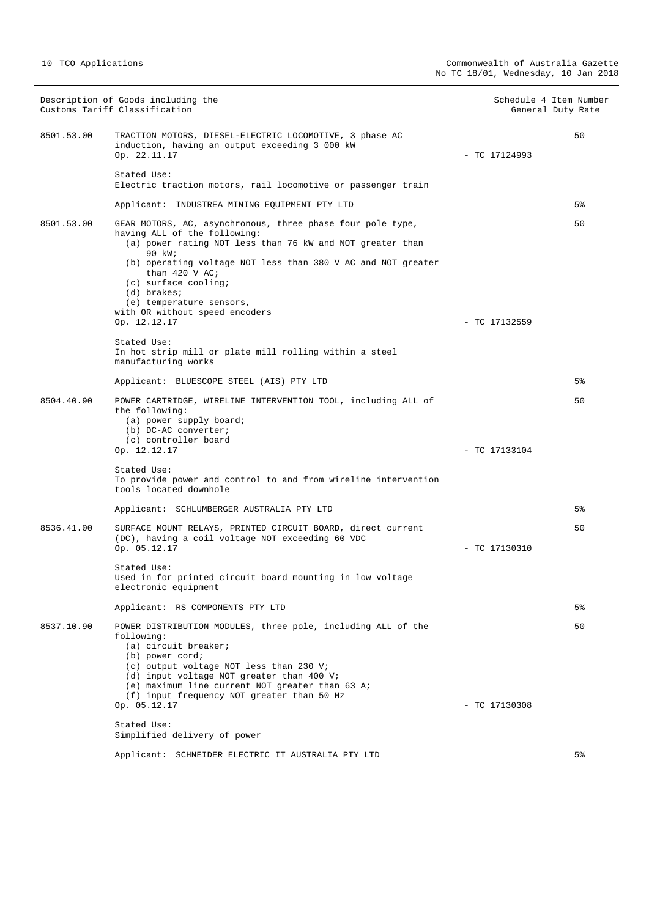|            | Description of Goods including the<br>Customs Tariff Classification                                                                                                                                                                                                                                                        | Schedule 4 Item Number | General Duty Rate |
|------------|----------------------------------------------------------------------------------------------------------------------------------------------------------------------------------------------------------------------------------------------------------------------------------------------------------------------------|------------------------|-------------------|
| 8501.53.00 | TRACTION MOTORS, DIESEL-ELECTRIC LOCOMOTIVE, 3 phase AC<br>induction, having an output exceeding 3 000 kW<br>Op. 22.11.17                                                                                                                                                                                                  | $-$ TC 17124993        | 50                |
|            | Stated Use:<br>Electric traction motors, rail locomotive or passenger train                                                                                                                                                                                                                                                |                        |                   |
|            | Applicant: INDUSTREA MINING EQUIPMENT PTY LTD                                                                                                                                                                                                                                                                              |                        | 5%                |
| 8501.53.00 | GEAR MOTORS, AC, asynchronous, three phase four pole type,<br>having ALL of the following:<br>(a) power rating NOT less than 76 kW and NOT greater than<br>90 kW;<br>(b) operating voltage NOT less than 380 V AC and NOT greater<br>than $420$ V AC;<br>$(c)$ surface cooling;<br>(d) brakes;<br>(e) temperature sensors, |                        | 50                |
|            | with OR without speed encoders<br>Op. 12.12.17                                                                                                                                                                                                                                                                             |                        |                   |
|            | Stated Use:<br>In hot strip mill or plate mill rolling within a steel<br>manufacturing works                                                                                                                                                                                                                               | $-$ TC 17132559        |                   |
|            | Applicant: BLUESCOPE STEEL (AIS) PTY LTD                                                                                                                                                                                                                                                                                   |                        | 5%                |
| 8504.40.90 | POWER CARTRIDGE, WIRELINE INTERVENTION TOOL, including ALL of<br>the following:<br>(a) power supply board;<br>(b) DC-AC converter;<br>(c) controller board                                                                                                                                                                 |                        | 50                |
|            | Op. 12.12.17                                                                                                                                                                                                                                                                                                               | - TC 17133104          |                   |
|            | Stated Use:<br>To provide power and control to and from wireline intervention<br>tools located downhole                                                                                                                                                                                                                    |                        |                   |
|            | Applicant: SCHLUMBERGER AUSTRALIA PTY LTD                                                                                                                                                                                                                                                                                  |                        | 5%                |
| 8536.41.00 | SURFACE MOUNT RELAYS, PRINTED CIRCUIT BOARD, direct current<br>(DC), having a coil voltage NOT exceeding 60 VDC<br>Op. 05.12.17                                                                                                                                                                                            | $-$ TC 17130310        | 50                |
|            | Stated Use:<br>Used in for printed circuit board mounting in low voltage<br>electronic equipment                                                                                                                                                                                                                           |                        |                   |
|            | Applicant: RS COMPONENTS PTY LTD                                                                                                                                                                                                                                                                                           |                        | 5%                |
| 8537.10.90 | POWER DISTRIBUTION MODULES, three pole, including ALL of the<br>following:<br>(a) circuit breaker;<br>(b) power cord;<br>(c) output voltage NOT less than 230 V;<br>(d) input voltage NOT greater than 400 V;<br>(e) maximum line current NOT greater than 63 A;<br>(f) input frequency NOT greater than 50 Hz             |                        | 50                |
|            | Op. 05.12.17                                                                                                                                                                                                                                                                                                               | $-$ TC 17130308        |                   |
|            | Stated Use:<br>Simplified delivery of power                                                                                                                                                                                                                                                                                |                        |                   |
|            | Applicant: SCHNEIDER ELECTRIC IT AUSTRALIA PTY LTD                                                                                                                                                                                                                                                                         |                        | 5%                |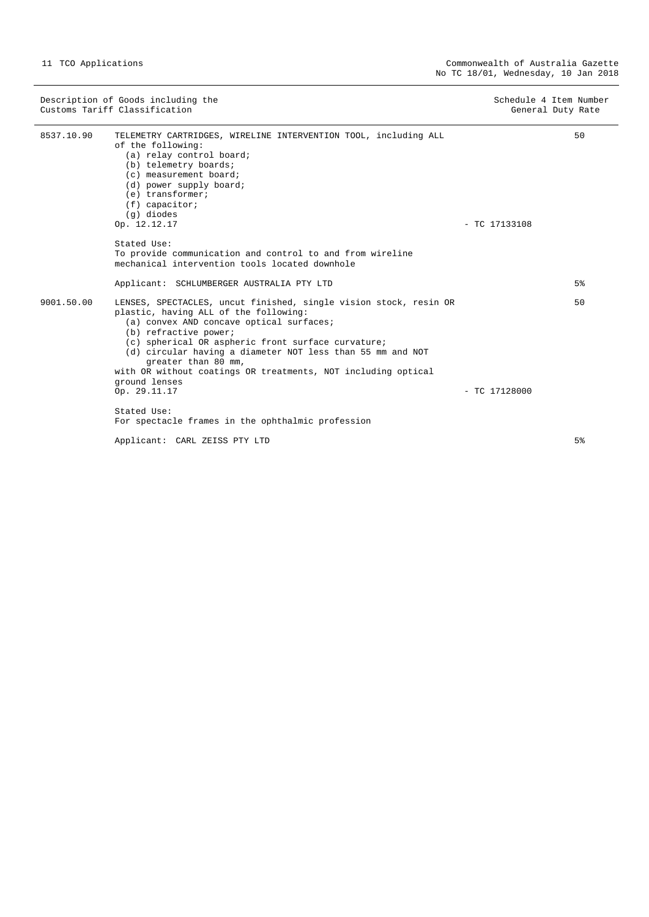|            | Description of Goods including the<br>Customs Tariff Classification                                                                                                                                                                                                                                                                                                                                          | Schedule 4 Item Number<br>General Duty Rate |                |
|------------|--------------------------------------------------------------------------------------------------------------------------------------------------------------------------------------------------------------------------------------------------------------------------------------------------------------------------------------------------------------------------------------------------------------|---------------------------------------------|----------------|
| 8537.10.90 | TELEMETRY CARTRIDGES, WIRELINE INTERVENTION TOOL, including ALL<br>of the following:<br>(a) relay control board;<br>(b) telemetry boards;<br>(c) measurement board;<br>(d) power supply board;<br>$(e)$ transformer;<br>$(f)$ capacitor;<br>(g) diodes<br>Op. 12.12.17                                                                                                                                       | $-$ TC 17133108                             | 50             |
|            | Stated Use:                                                                                                                                                                                                                                                                                                                                                                                                  |                                             |                |
|            | To provide communication and control to and from wireline<br>mechanical intervention tools located downhole                                                                                                                                                                                                                                                                                                  |                                             |                |
|            | Applicant: SCHLUMBERGER AUSTRALIA PTY LTD                                                                                                                                                                                                                                                                                                                                                                    |                                             | 5 <sup>°</sup> |
| 9001.50.00 | LENSES, SPECTACLES, uncut finished, single vision stock, resin OR<br>plastic, having ALL of the following:<br>(a) convex AND concave optical surfaces;<br>(b) refractive power;<br>(c) spherical OR aspheric front surface curvature;<br>(d) circular having a diameter NOT less than 55 mm and NOT<br>greater than 80 mm,<br>with OR without coatings OR treatments, NOT including optical<br>ground lenses |                                             | 50             |
|            | Op. 29.11.17                                                                                                                                                                                                                                                                                                                                                                                                 | $-$ TC 17128000                             |                |
|            | Stated Use:<br>For spectacle frames in the ophthalmic profession                                                                                                                                                                                                                                                                                                                                             |                                             |                |
|            | Applicant: CARL ZEISS PTY LTD                                                                                                                                                                                                                                                                                                                                                                                |                                             | 5 <sup>°</sup> |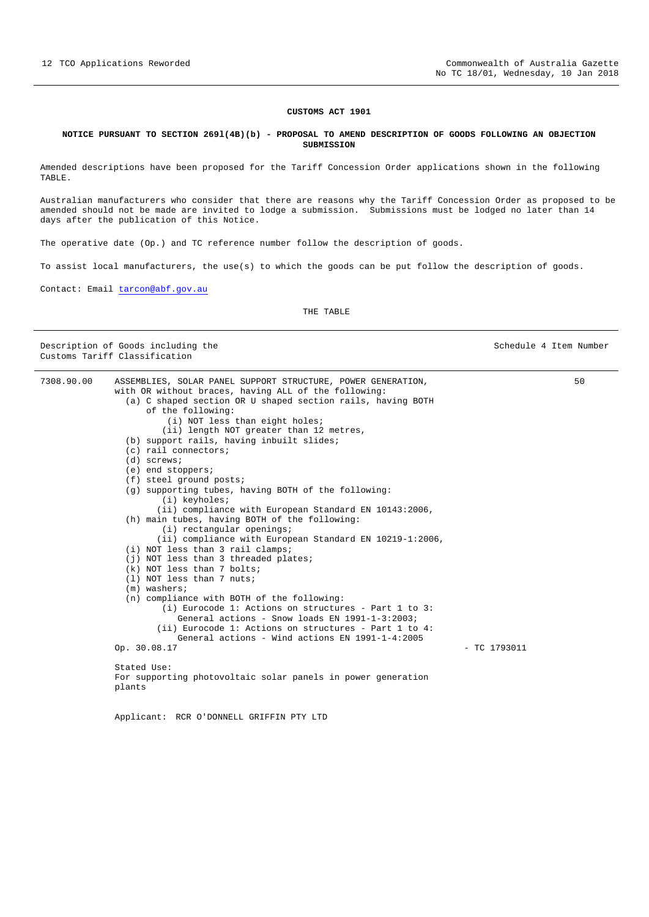#### **CUSTOMS ACT 1901**

#### <span id="page-11-0"></span>**NOTICE PURSUANT TO SECTION 269l(4B)(b) - PROPOSAL TO AMEND DESCRIPTION OF GOODS FOLLOWING AN OBJECTION SUBMISSION**

Amended descriptions have been proposed for the Tariff Concession Order applications shown in the following TABLE.

Australian manufacturers who consider that there are reasons why the Tariff Concession Order as proposed to be amended should not be made are invited to lodge a submission. Submissions must be lodged no later than 14 days after the publication of this Notice.

The operative date (Op.) and TC reference number follow the description of goods.

To assist local manufacturers, the use(s) to which the goods can be put follow the description of goods.

Contact: Email [tarcon@abf.gov.au](mailto:tarcon@abf.gov.au) 

THE TABLE

Description of Goods including the Schedule 4 Item Number (Schedule 4 Item Number

Customs Tariff Classification 7308.90.00 ASSEMBLIES, SOLAR PANEL SUPPORT STRUCTURE, POWER GENERATION, with OR without braces, having ALL of the following: (a) C shaped section OR U shaped section rails, having BOTH of the following: (i) NOT less than eight holes; (ii) length NOT greater than 12 metres, (b) support rails, having inbuilt slides; (c) rail connectors; (d) screws; (e) end stoppers; (f) steel ground posts; (g) supporting tubes, having BOTH of the following: (i) keyholes; (ii) compliance with European Standard EN 10143:2006, (h) main tubes, having BOTH of the following: (i) rectangular openings; (ii) compliance with European Standard EN 10219-1:2006, (i) NOT less than 3 rail clamps; (j) NOT less than 3 threaded plates; (k) NOT less than 7 bolts; (l) NOT less than 7 nuts; (m) washers; (n) compliance with BOTH of the following: (i) Eurocode 1: Actions on structures - Part 1 to 3: General actions - Snow loads EN 1991-1-3:2003; (ii) Eurocode 1: Actions on structures - Part 1 to 4: General actions - Wind actions EN 1991-1-4:2005 Op. 30.08.17 - TC 1793011 Stated Use: For supporting photovoltaic solar panels in power generation plants Applicant: RCR O'DONNELL GRIFFIN PTY LTD 50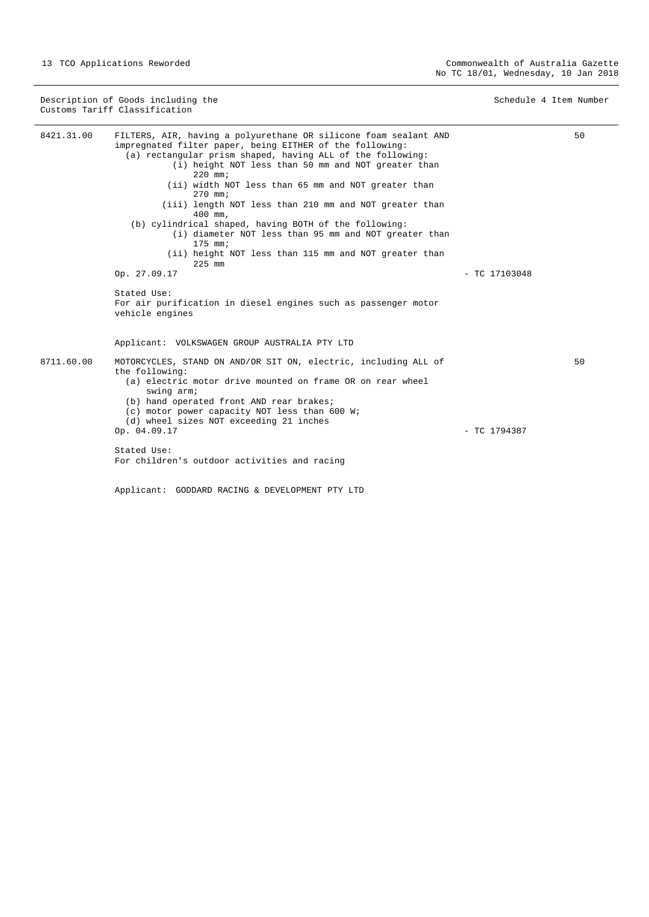|            | Description of Goods including the<br>Customs Tariff Classification                                                                                                                                                                                                                                                                                                                                                                                                                                                                                                                                                                                                                                                             | Schedule 4 Item Number |    |
|------------|---------------------------------------------------------------------------------------------------------------------------------------------------------------------------------------------------------------------------------------------------------------------------------------------------------------------------------------------------------------------------------------------------------------------------------------------------------------------------------------------------------------------------------------------------------------------------------------------------------------------------------------------------------------------------------------------------------------------------------|------------------------|----|
| 8421.31.00 | FILTERS, AIR, having a polyurethane OR silicone foam sealant AND<br>impregnated filter paper, being EITHER of the following:<br>(a) rectangular prism shaped, having ALL of the following:<br>(i) height NOT less than 50 mm and NOT greater than<br>$220$ mm;<br>(ii) width NOT less than 65 mm and NOT greater than<br>$270$ mm;<br>(iii) length NOT less than 210 mm and NOT greater than<br>400 mm.<br>(b) cylindrical shaped, having BOTH of the following:<br>(i) diameter NOT less than 95 mm and NOT greater than<br>$175$ mm;<br>(ii) height NOT less than 115 mm and NOT greater than<br>$225$ mm<br>Op. 27.09.17<br>Stated Use:<br>For air purification in diesel engines such as passenger motor<br>vehicle engines | $-$ TC 17103048        | 50 |
| 8711.60.00 | Applicant: VOLKSWAGEN GROUP AUSTRALIA PTY LTD<br>MOTORCYCLES, STAND ON AND/OR SIT ON, electric, including ALL of<br>the following:<br>(a) electric motor drive mounted on frame OR on rear wheel<br>swing arm;<br>(b) hand operated front AND rear brakes;<br>(c) motor power capacity NOT less than 600 W;<br>(d) wheel sizes NOT exceeding 21 inches<br>Op. 04.09.17<br>Stated Use:<br>For children's outdoor activities and racing                                                                                                                                                                                                                                                                                           | $-$ TC 1794387         | 50 |

Applicant: GODDARD RACING & DEVELOPMENT PTY LTD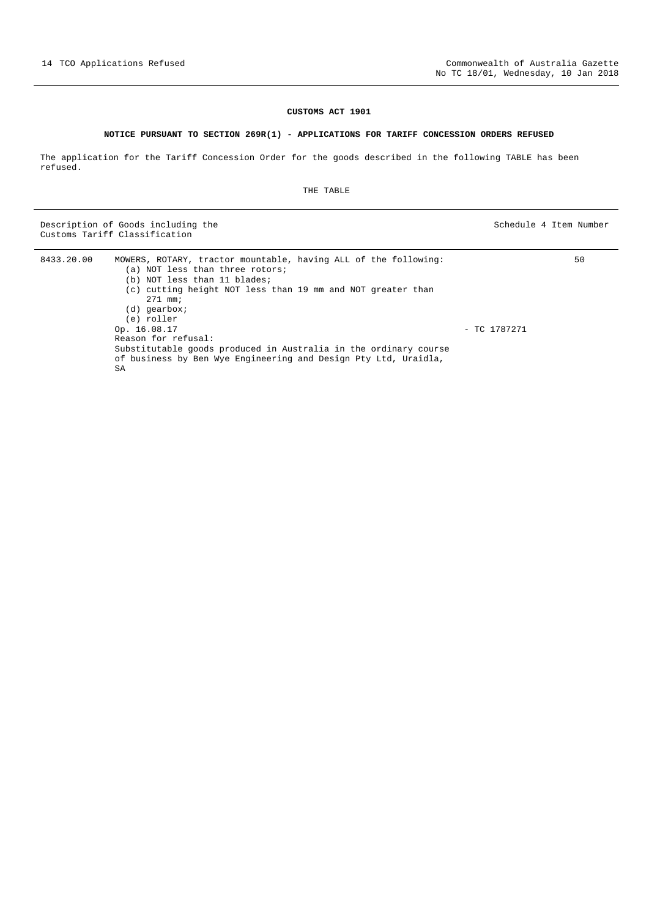#### **CUSTOMS ACT 1901**

#### **NOTICE PURSUANT TO SECTION 269R(1) - APPLICATIONS FOR TARIFF CONCESSION ORDERS REFUSED**

<span id="page-13-0"></span>The application for the Tariff Concession Order for the goods described in the following TABLE has been refused.

THE TABLE

Description of Goods including the Schedule 4 Item Number (Schedule 4 Item Number  $S$ chedule 4 Item Number (Schedule 4 Item Number (Schedule 4 Item Number (Schedule 4 Item Number (Schedule 4 Item Number (Schedule 4 Item Nu Customs Tariff Classification

| 8433.20.00 | MOWERS, ROTARY, tractor mountable, having ALL of the following:<br>(a) NOT less than three rotors;<br>(b) NOT less than 11 blades;                                               |              | 50 |
|------------|----------------------------------------------------------------------------------------------------------------------------------------------------------------------------------|--------------|----|
|            | (c) cutting height NOT less than 19 mm and NOT greater than<br>$271$ mm;<br>(d) qearbox;<br>(e) roller                                                                           |              |    |
|            | Op. 16.08.17<br>Reason for refusal:<br>Substitutable goods produced in Australia in the ordinary course<br>of business by Ben Wye Engineering and Design Pty Ltd, Uraidla,<br>SA | - TC 1787271 |    |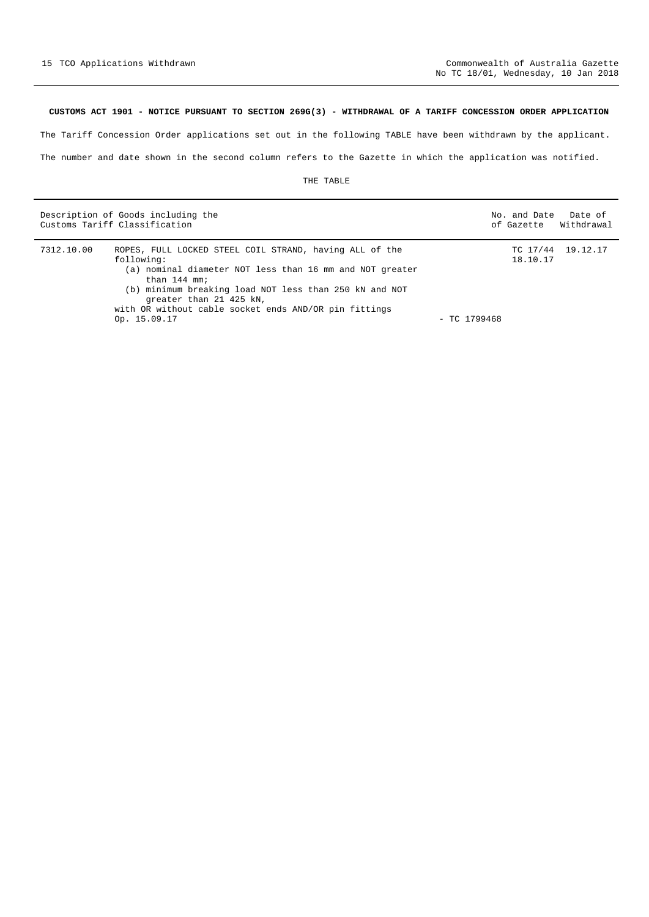#### <span id="page-14-0"></span>**CUSTOMS ACT 1901 - NOTICE PURSUANT TO SECTION 269G(3) - WITHDRAWAL OF A TARIFF CONCESSION ORDER APPLICATION**

The Tariff Concession Order applications set out in the following TABLE have been withdrawn by the applicant.

The number and date shown in the second column refers to the Gazette in which the application was notified.

|            | Description of Goods including the<br>Customs Tariff Classification                                                                                                                                                                                                                                               |                | No. and Date | Date of<br>of Gazette Withdrawal |
|------------|-------------------------------------------------------------------------------------------------------------------------------------------------------------------------------------------------------------------------------------------------------------------------------------------------------------------|----------------|--------------|----------------------------------|
| 7312.10.00 | ROPES, FULL LOCKED STEEL COIL STRAND, having ALL of the<br>following:<br>(a) nominal diameter NOT less than 16 mm and NOT greater<br>than $144$ mm;<br>(b) minimum breaking load NOT less than 250 kN and NOT<br>greater than 21 425 kN,<br>with OR without cable socket ends AND/OR pin fittings<br>Op. 15.09.17 | $-$ TC 1799468 | 18.10.17     | TC 17/44 19.12.17                |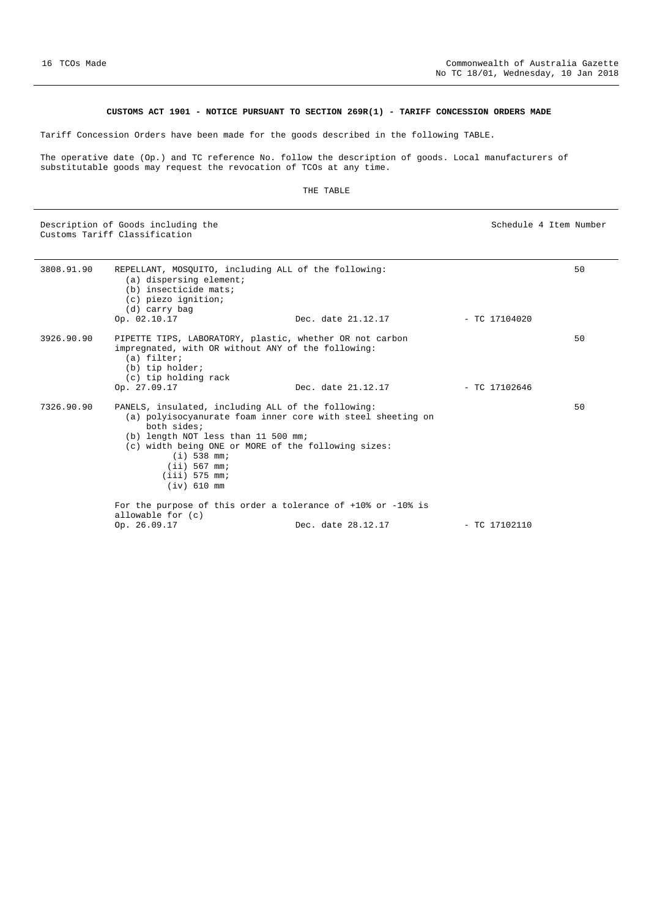#### **CUSTOMS ACT 1901 - NOTICE PURSUANT TO SECTION 269R(1) - TARIFF CONCESSION ORDERS MADE**

<span id="page-15-0"></span>Tariff Concession Orders have been made for the goods described in the following TABLE.

The operative date (Op.) and TC reference No. follow the description of goods. Local manufacturers of substitutable goods may request the revocation of TCOs at any time.

|            | Description of Goods including the<br>Customs Tariff Classification                                                                                                                                                                                                                                    |                    | Schedule 4 Item Number |    |
|------------|--------------------------------------------------------------------------------------------------------------------------------------------------------------------------------------------------------------------------------------------------------------------------------------------------------|--------------------|------------------------|----|
| 3808.91.90 | REPELLANT, MOSOUITO, including ALL of the following:<br>(a) dispersing element;<br>(b) insecticide mats;<br>(c) piezo ignition;<br>(d) carry bag                                                                                                                                                       |                    |                        | 50 |
|            | Op. 02.10.17                                                                                                                                                                                                                                                                                           | Dec. date 21.12.17 | $-$ TC 17104020        |    |
| 3926.90.90 | PIPETTE TIPS, LABORATORY, plastic, whether OR not carbon<br>impregnated, with OR without ANY of the following:<br>(a) filter;<br>(b) tip holder;<br>(c) tip holding rack                                                                                                                               |                    |                        | 50 |
|            | Op. 27.09.17                                                                                                                                                                                                                                                                                           | Dec. date 21.12.17 | $-$ TC 17102646        |    |
| 7326.90.90 | PANELS, insulated, including ALL of the following:<br>(a) polyisocyanurate foam inner core with steel sheeting on<br>both sides;<br>(b) length NOT less than 11 500 mm;<br>(c) width being ONE or MORE of the following sizes:<br>$(i)$ 538 mm;<br>$(iii)$ 567 mm;<br>$(iii)$ 575 mm;<br>$(iv)$ 610 mm |                    |                        | 50 |
|            | For the purpose of this order a tolerance of $+10$ ° or $-10$ ° is                                                                                                                                                                                                                                     |                    |                        |    |
|            | allowable for (c)<br>Op. 26.09.17                                                                                                                                                                                                                                                                      | Dec. date 28.12.17 | $-$ TC 17102110        |    |
|            |                                                                                                                                                                                                                                                                                                        |                    |                        |    |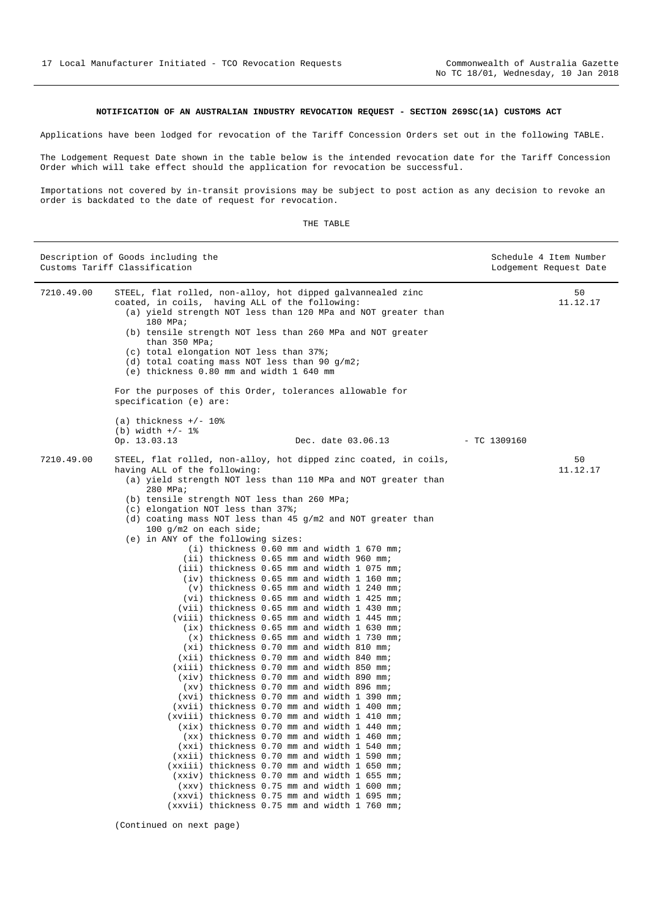#### **NOTIFICATION OF AN AUSTRALIAN INDUSTRY REVOCATION REQUEST - SECTION 269SC(1A) CUSTOMS ACT**

<span id="page-16-0"></span>Applications have been lodged for revocation of the Tariff Concession Orders set out in the following TABLE.

The Lodgement Request Date shown in the table below is the intended revocation date for the Tariff Concession Order which will take effect should the application for revocation be successful.

Importations not covered by in-transit provisions may be subject to post action as any decision to revoke an order is backdated to the date of request for revocation.

|            | Description of Goods including the<br>Customs Tariff Classification                                                                                                                                                                                                                                                                                                                                                                                                                                                                                                                                                                                                                                                                                                                                                                                                                                                                                                                                                                                                                                                                                                                                                                                                                                                                                                                                                                                         | Schedule 4 Item Number<br>Lodgement Request Date |
|------------|-------------------------------------------------------------------------------------------------------------------------------------------------------------------------------------------------------------------------------------------------------------------------------------------------------------------------------------------------------------------------------------------------------------------------------------------------------------------------------------------------------------------------------------------------------------------------------------------------------------------------------------------------------------------------------------------------------------------------------------------------------------------------------------------------------------------------------------------------------------------------------------------------------------------------------------------------------------------------------------------------------------------------------------------------------------------------------------------------------------------------------------------------------------------------------------------------------------------------------------------------------------------------------------------------------------------------------------------------------------------------------------------------------------------------------------------------------------|--------------------------------------------------|
| 7210.49.00 | STEEL, flat rolled, non-alloy, hot dipped galvannealed zinc<br>coated, in coils, having ALL of the following:<br>(a) yield strength NOT less than 120 MPa and NOT greater than<br>180 MPa;<br>(b) tensile strength NOT less than 260 MPa and NOT greater<br>than 350 MPa;<br>(c) total elongation NOT less than 37%;<br>(d) total coating mass NOT less than 90 $g/m2$ ;<br>(e) thickness 0.80 mm and width 1 640 mm<br>For the purposes of this Order, tolerances allowable for<br>specification (e) are:<br>(a) thickness $+/- 10$ %<br>(b) width $+/- 1$ %                                                                                                                                                                                                                                                                                                                                                                                                                                                                                                                                                                                                                                                                                                                                                                                                                                                                                               | 50<br>11.12.17                                   |
|            | Op. 13.03.13<br>Dec. date 03.06.13                                                                                                                                                                                                                                                                                                                                                                                                                                                                                                                                                                                                                                                                                                                                                                                                                                                                                                                                                                                                                                                                                                                                                                                                                                                                                                                                                                                                                          | $-$ TC 1309160                                   |
| 7210.49.00 | STEEL, flat rolled, non-alloy, hot dipped zinc coated, in coils,<br>having ALL of the following:<br>(a) yield strength NOT less than 110 MPa and NOT greater than<br>280 MPa;<br>(b) tensile strength NOT less than 260 MPa;<br>(c) elongation NOT less than 37%;<br>(d) coating mass NOT less than 45 g/m2 and NOT greater than<br>100 $q/m2$ on each side;<br>(e) in ANY of the following sizes:<br>(i) thickness 0.60 mm and width 1 670 mm;<br>(ii) thickness 0.65 mm and width 960 mm;<br>(iii) thickness 0.65 mm and width 1 075 mm;<br>(iv) thickness 0.65 mm and width 1 160 mm;<br>(v) thickness 0.65 mm and width 1 240 mm;<br>(vi) thickness 0.65 mm and width 1 425 mm;<br>(vii) thickness 0.65 mm and width 1 430 mm;<br>(viii) thickness 0.65 mm and width 1 445 mm;<br>(ix) thickness 0.65 mm and width 1 630 mm;<br>$(x)$ thickness 0.65 mm and width 1 730 mm;<br>(xi) thickness 0.70 mm and width 810 mm;<br>(xii) thickness 0.70 mm and width 840 mm;<br>(xiii) thickness 0.70 mm and width 850 mm;<br>(xiv) thickness 0.70 mm and width 890 mm;<br>(xv) thickness 0.70 mm and width 896 mm;<br>(xvi) thickness 0.70 mm and width 1 390 mm;<br>(xvii) thickness 0.70 mm and width 1 400 mm;<br>(xviii) thickness 0.70 mm and width 1 410 mm;<br>(xix) thickness 0.70 mm and width 1 440 mm;<br>(xx) thickness 0.70 mm and width 1 460 mm;<br>(xxi) thickness 0.70 mm and width 1 540 mm;<br>(xxii) thickness 0.70 mm and width 1 590 mm; | 50<br>11.12.17                                   |
|            | (xxiii) thickness 0.70 mm and width 1 650 mm;<br>(xxiv) thickness 0.70 mm and width 1 655 mm;                                                                                                                                                                                                                                                                                                                                                                                                                                                                                                                                                                                                                                                                                                                                                                                                                                                                                                                                                                                                                                                                                                                                                                                                                                                                                                                                                               |                                                  |
|            | (xxv) thickness 0.75 mm and width 1 600 mm;                                                                                                                                                                                                                                                                                                                                                                                                                                                                                                                                                                                                                                                                                                                                                                                                                                                                                                                                                                                                                                                                                                                                                                                                                                                                                                                                                                                                                 |                                                  |
|            | (xxvi) thickness 0.75 mm and width 1 695 mm;<br>(xxvii) thickness 0.75 mm and width 1 760 mm;                                                                                                                                                                                                                                                                                                                                                                                                                                                                                                                                                                                                                                                                                                                                                                                                                                                                                                                                                                                                                                                                                                                                                                                                                                                                                                                                                               |                                                  |

(Continued on next page)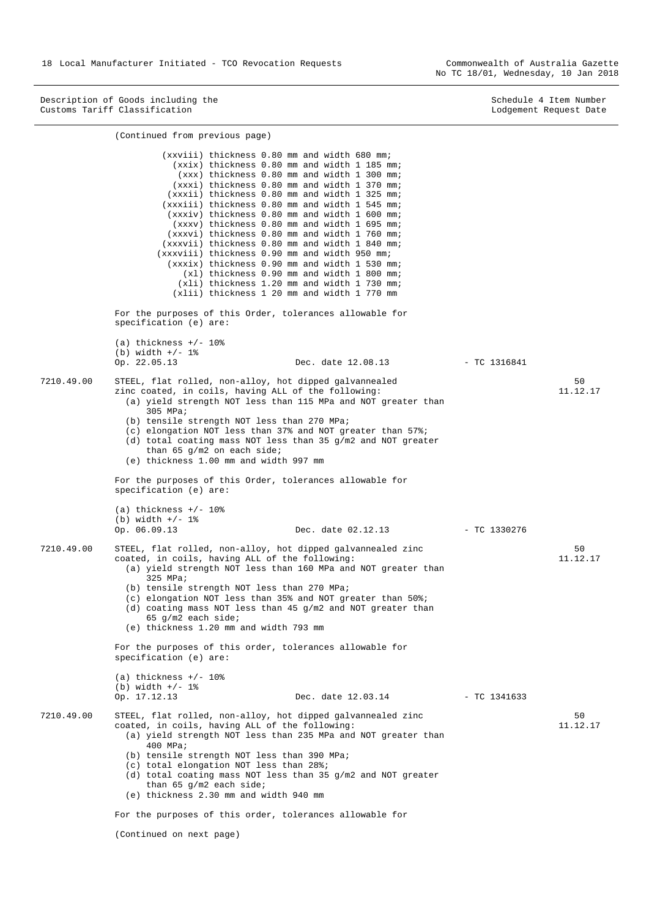No TC 18/01, Wednesday, 10 Jan 2018

Description of Goods including the Schedule 4 Item Number (Schedule 4 Item Number (Schedule 4 Item Number (Schedule 4 Item Number (Schedule 4 Item Number (Schedule 4 Item Number (Schedule 4 Item Number (Schedule 4 Item Num Customs Tariff Classification Lodgement Request Date

|            | (Continued from previous page)                                                                                                                                                                                                                                                                                                                                                                                                                                                                                                                                                                                                                                                                                                                     |                |                |
|------------|----------------------------------------------------------------------------------------------------------------------------------------------------------------------------------------------------------------------------------------------------------------------------------------------------------------------------------------------------------------------------------------------------------------------------------------------------------------------------------------------------------------------------------------------------------------------------------------------------------------------------------------------------------------------------------------------------------------------------------------------------|----------------|----------------|
|            | (xxviii) thickness 0.80 mm and width 680 mm;<br>(xxix) thickness 0.80 mm and width 1 185 mm;<br>(xxx) thickness 0.80 mm and width 1 300 mm;<br>(xxxi) thickness 0.80 mm and width 1 370 mm;<br>(xxxii) thickness 0.80 mm and width 1 325 mm;<br>(xxxiii) thickness 0.80 mm and width 1 545 mm;<br>(xxxiv) thickness 0.80 mm and width 1 600 mm;<br>(xxxv) thickness 0.80 mm and width 1 695 mm;<br>(xxxvi) thickness 0.80 mm and width 1 760 mm;<br>(xxxvii) thickness 0.80 mm and width 1 840 mm;<br>(xxxviii) thickness 0.90 mm and width 950 mm;<br>(xxxix) thickness 0.90 mm and width 1 530 mm;<br>(x1) thickness 0.90 mm and width 1 800 mm;<br>$(xli)$ thickness 1.20 mm and width 1 730 mm;<br>(xlii) thickness 1 20 mm and width 1 770 mm |                |                |
|            | For the purposes of this Order, tolerances allowable for<br>specification (e) are:                                                                                                                                                                                                                                                                                                                                                                                                                                                                                                                                                                                                                                                                 |                |                |
|            | (a) thickness $+/- 10o$<br>(b) width $+/- 1$ %<br>Op. 22.05.13<br>Dec. date 12.08.13                                                                                                                                                                                                                                                                                                                                                                                                                                                                                                                                                                                                                                                               | $-$ TC 1316841 |                |
| 7210.49.00 | STEEL, flat rolled, non-alloy, hot dipped galvannealed<br>zinc coated, in coils, having ALL of the following:<br>(a) yield strength NOT less than 115 MPa and NOT greater than<br>305 MPa;<br>(b) tensile strength NOT less than 270 MPa;<br>(c) elongation NOT less than 37% and NOT greater than $57\$<br>(d) total coating mass NOT less than 35 $g/m2$ and NOT greater<br>than 65 $g/m2$ on each side;<br>(e) thickness 1.00 mm and width 997 mm                                                                                                                                                                                                                                                                                               |                | 50<br>11.12.17 |
|            | For the purposes of this Order, tolerances allowable for<br>specification (e) are:                                                                                                                                                                                                                                                                                                                                                                                                                                                                                                                                                                                                                                                                 |                |                |
|            | (a) thickness $+/- 10\%$<br>(b) width $+/- 1$ %<br>Op. 06.09.13<br>Dec. date 02.12.13                                                                                                                                                                                                                                                                                                                                                                                                                                                                                                                                                                                                                                                              | $-$ TC 1330276 |                |
| 7210.49.00 | STEEL, flat rolled, non-alloy, hot dipped galvannealed zinc<br>coated, in coils, having ALL of the following:<br>(a) yield strength NOT less than 160 MPa and NOT greater than<br>325 MPa;<br>(b) tensile strength NOT less than 270 MPa;<br>(c) elongation NOT less than 35% and NOT greater than $50\$ i<br>(d) coating mass NOT less than 45 $g/m2$ and NOT greater than<br>$65$ g/m2 each side;<br>(e) thickness 1.20 mm and width 793 mm                                                                                                                                                                                                                                                                                                      |                | 50<br>11.12.17 |
|            | For the purposes of this order, tolerances allowable for<br>specification (e) are:                                                                                                                                                                                                                                                                                                                                                                                                                                                                                                                                                                                                                                                                 |                |                |
|            | (a) thickness $+/- 10$ %<br>(b) width $+/- 1$ %<br>Op. 17.12.13<br>Dec. date 12.03.14                                                                                                                                                                                                                                                                                                                                                                                                                                                                                                                                                                                                                                                              | $-$ TC 1341633 |                |
| 7210.49.00 | STEEL, flat rolled, non-alloy, hot dipped galvannealed zinc<br>coated, in coils, having ALL of the following:<br>(a) yield strength NOT less than 235 MPa and NOT greater than<br>400 MPa;<br>(b) tensile strength NOT less than 390 MPa;<br>(c) total elongation NOT less than 28%;<br>(d) total coating mass NOT less than 35 $g/m2$ and NOT greater<br>than 65 $g/m2$ each side;<br>(e) thickness 2.30 mm and width 940 mm                                                                                                                                                                                                                                                                                                                      |                | 50<br>11.12.17 |
|            | For the purposes of this order, tolerances allowable for<br>(Continued on next page)                                                                                                                                                                                                                                                                                                                                                                                                                                                                                                                                                                                                                                                               |                |                |
|            |                                                                                                                                                                                                                                                                                                                                                                                                                                                                                                                                                                                                                                                                                                                                                    |                |                |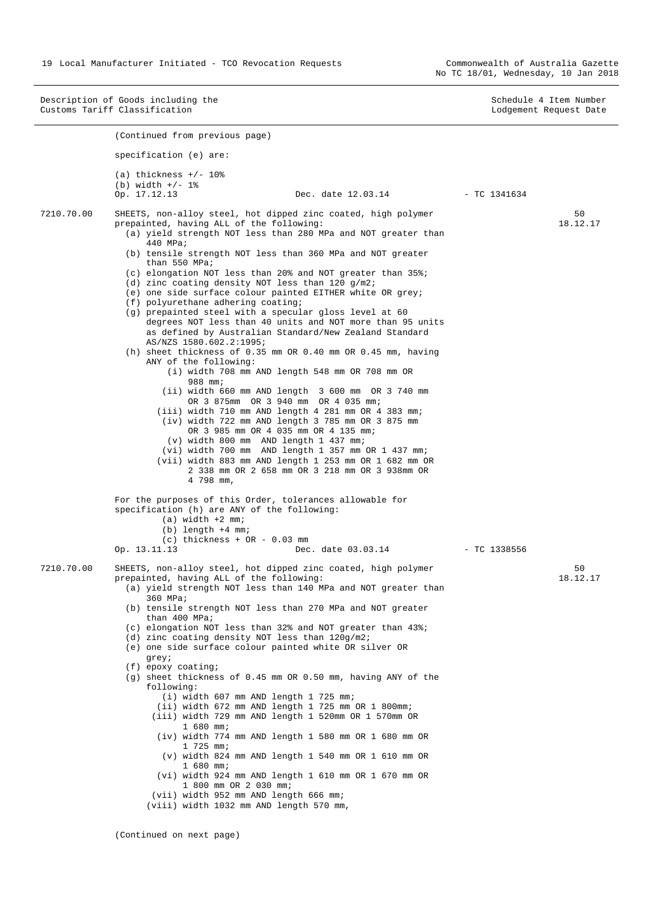Description of Goods including the Schedule 4 Item Number<br>
Customs Tariff Classification<br>
Customs Tariff Classification Customs Tariff Classification (Continued from previous page) specification (e) are:  $(a)$  thickness  $+/$ - 10% (b) width  $+/- 1$  %<br>Op.  $17.12.13$ Dec. date 12.03.14 - TC 1341634 7210.70.00 SHEETS, non-alloy steel, hot dipped zinc coated, high polymer prepainted, having ALL of the following: (a) yield strength NOT less than 280 MPa and NOT greater than 440 MPa; (b) tensile strength NOT less than 360 MPa and NOT greater than 550 MPa; (c) elongation NOT less than 20% and NOT greater than 35%; (d) zinc coating density NOT less than 120 g/m2; (e) one side surface colour painted EITHER white OR grey; (f) polyurethane adhering coating; (g) prepainted steel with a specular gloss level at 60 degrees NOT less than 40 units and NOT more than 95 units as defined by Australian Standard/New Zealand Standard AS/NZS 1580.602.2:1995; (h) sheet thickness of 0.35 mm OR 0.40 mm OR 0.45 mm, having ANY of the following: (i) width 708 mm AND length 548 mm OR 708 mm OR 988 mm; (ii) width 660 mm AND length 3 600 mm OR 3 740 mm OR 3 875mm OR 3 940 mm OR 4 035 mm; (iii) width 710 mm AND length 4 281 mm OR 4 383 mm; (iv) width 722 mm AND length 3 785 mm OR 3 875 mm OR 3 985 mm OR 4 035 mm OR 4 135 mm; (v) width 800 mm AND length 1 437 mm; (vi) width 700 mm AND length 1 357 mm OR 1 437 mm; (vii) width 883 mm AND length 1 253 mm OR 1 682 mm OR 2 338 mm OR 2 658 mm OR 3 218 mm OR 3 938mm OR 4 798 mm, For the purposes of this Order, tolerances allowable for specification (h) are ANY of the following:  $(a)$  width  $+2$  mm;  $(b)$  length  $+4$  mm; (c) thickness +  $OR - 0.03$  mm<br>Op. 13.11.13 Dec Dec. date 03.03.14 - TC 1338556  $50$ 18.12.17 7210.70.00 SHEETS, non-alloy steel, hot dipped zinc coated, high polymer prepainted, having ALL of the following: (a) yield strength NOT less than 140 MPa and NOT greater than 360 MPa; (b) tensile strength NOT less than 270 MPa and NOT greater than 400 MPa; (c) elongation NOT less than 32% and NOT greater than 43%; (d) zinc coating density NOT less than 120g/m2; (e) one side surface colour painted white OR silver OR grey; (f) epoxy coating; (g) sheet thickness of 0.45 mm OR 0.50 mm, having ANY of the following: (i) width 607 mm AND length 1 725 mm; (ii) width 672 mm AND length 1 725 mm OR 1 800mm; (iii) width 729 mm AND length 1 520mm OR 1 570mm OR 1 680 mm; (iv) width 774 mm AND length 1 580 mm OR 1 680 mm OR 1 725 mm; (v) width 824 mm AND length 1 540 mm OR 1 610 mm OR 1 680 mm; (vi) width 924 mm AND length 1 610 mm OR 1 670 mm OR 1 800 mm OR 2 030 mm; (vii) width 952 mm AND length 666 mm; (viii) width 1032 mm AND length 570 mm, 50 18.12.17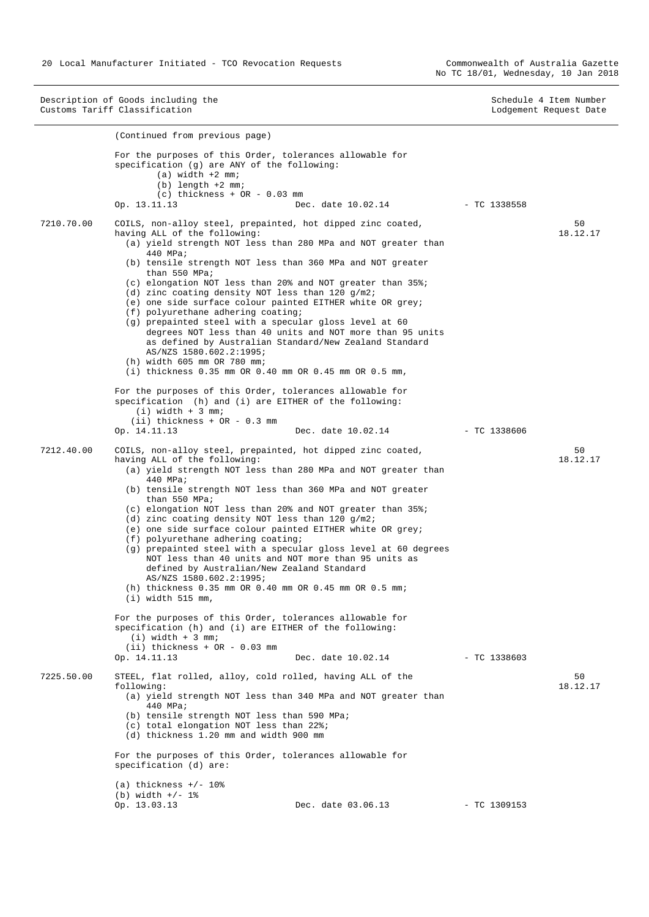Description of Goods including the Schedule 4 Item Number<br>
Customs Tariff Classification<br>
Customs Tariff Classification Customs Tariff Classification (Continued from previous page) For the purposes of this Order, tolerances allowable for specification (g) are ANY of the following:  $(a)$  width  $+2$  mm; (b) length +2 mm; (c) thickness +  $OR - 0.03$  mm<br>Op. 13.11.13 De Dec. date 10.02.14 - TC 1338558 7210.70.00 COILS, non-alloy steel, prepainted, hot dipped zinc coated, having ALL of the following: (a) yield strength NOT less than 280 MPa and NOT greater than 440 MPa; (b) tensile strength NOT less than 360 MPa and NOT greater than 550 MPa; (c) elongation NOT less than 20% and NOT greater than 35%; (d) zinc coating density NOT less than 120 g/m2; (e) one side surface colour painted EITHER white OR grey; (f) polyurethane adhering coating; (g) prepainted steel with a specular gloss level at 60 degrees NOT less than 40 units and NOT more than 95 units as defined by Australian Standard/New Zealand Standard AS/NZS 1580.602.2:1995; (h) width 605 mm OR 780 mm; (i) thickness 0.35 mm OR 0.40 mm OR 0.45 mm OR 0.5 mm, For the purposes of this Order, tolerances allowable for specification (h) and (i) are EITHER of the following: (i) width + 3 mm; (ii) thickness +  $OR - 0.3$  mm  $Op. 14.11.13$ Dec. date 10.02.14 - TC 1338606 50 18.12.17 7212.40.00 COILS, non-alloy steel, prepainted, hot dipped zinc coated, having ALL of the following: (a) yield strength NOT less than 280 MPa and NOT greater than 440 MPa; (b) tensile strength NOT less than 360 MPa and NOT greater than 550 MPa; (c) elongation NOT less than 20% and NOT greater than 35%; (d) zinc coating density NOT less than 120 g/m2; (e) one side surface colour painted EITHER white OR grey; (f) polyurethane adhering coating; (g) prepainted steel with a specular gloss level at 60 degrees NOT less than 40 units and NOT more than 95 units as defined by Australian/New Zealand Standard AS/NZS 1580.602.2:1995; (h) thickness 0.35 mm OR 0.40 mm OR 0.45 mm OR 0.5 mm; (i) width 515 mm, For the purposes of this Order, tolerances allowable for specification (h) and (i) are EITHER of the following:  $(i)$  width  $+$  3 mm; (ii) thickness +  $OR - 0.03$  mm  $Op. 14.11.13$ Dec. date 10.02.14 - TC 1338603  $50$ 18.12.17 7225.50.00 STEEL, flat rolled, alloy, cold rolled, having ALL of the following: (a) yield strength NOT less than 340 MPa and NOT greater than 440 MPa; (b) tensile strength NOT less than 590 MPa; (c) total elongation NOT less than 22%; (d) thickness 1.20 mm and width 900 mm For the purposes of this Order, tolerances allowable for specification (d) are: (a) thickness  $+/- 10$ % (b) width  $+/- 1$  %<br>Op. 13.03.13 Op. 13.03.13 Dec. date 03.06.13 - TC 1309153  $50$ 18.12.17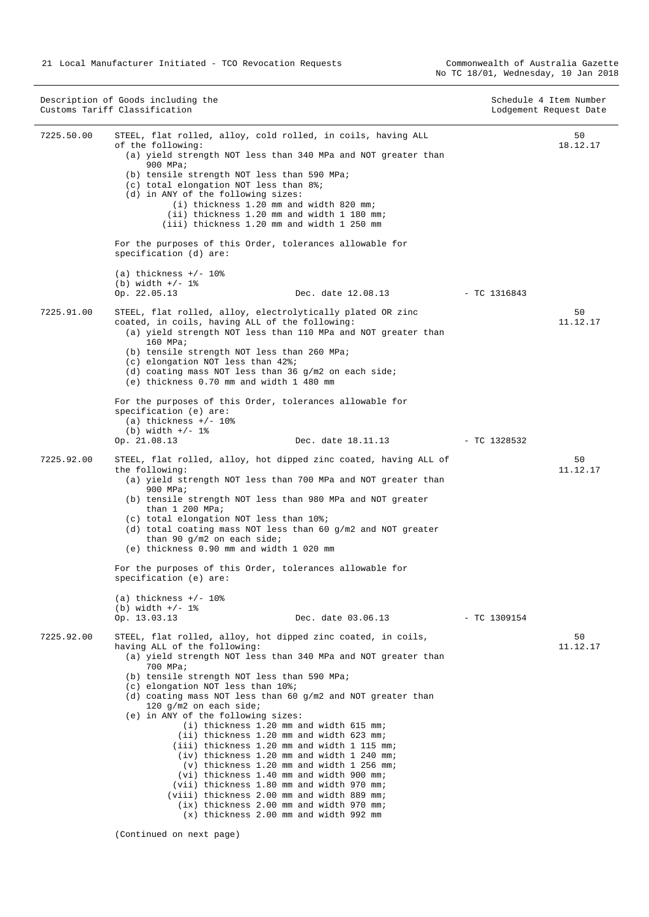|            | Description of Goods including the<br>Customs Tariff Classification                                                                                                                                                                                                                                                                                                                                                                                                                                                                                                                                                                                                                                                                                                                                                                                          |                | Schedule 4 Item Number<br>Lodgement Request Date |
|------------|--------------------------------------------------------------------------------------------------------------------------------------------------------------------------------------------------------------------------------------------------------------------------------------------------------------------------------------------------------------------------------------------------------------------------------------------------------------------------------------------------------------------------------------------------------------------------------------------------------------------------------------------------------------------------------------------------------------------------------------------------------------------------------------------------------------------------------------------------------------|----------------|--------------------------------------------------|
| 7225.50.00 | STEEL, flat rolled, alloy, cold rolled, in coils, having ALL<br>of the following:<br>(a) yield strength NOT less than 340 MPa and NOT greater than<br>900 MPa;<br>(b) tensile strength NOT less than 590 MPa;<br>(c) total elongation NOT less than 8%;<br>(d) in ANY of the following sizes:<br>(i) thickness 1.20 mm and width 820 mm;<br>(ii) thickness 1.20 mm and width 1 180 mm;<br>(iii) thickness 1.20 mm and width 1 250 mm                                                                                                                                                                                                                                                                                                                                                                                                                         |                | 50<br>18.12.17                                   |
|            | For the purposes of this Order, tolerances allowable for<br>specification (d) are:                                                                                                                                                                                                                                                                                                                                                                                                                                                                                                                                                                                                                                                                                                                                                                           |                |                                                  |
|            | (a) thickness $+/- 108$<br>(b) width $+/- 1$ %<br>Op. 22.05.13<br>Dec. date 12.08.13                                                                                                                                                                                                                                                                                                                                                                                                                                                                                                                                                                                                                                                                                                                                                                         | $-$ TC 1316843 |                                                  |
| 7225.91.00 | STEEL, flat rolled, alloy, electrolytically plated OR zinc<br>coated, in coils, having ALL of the following:<br>(a) yield strength NOT less than 110 MPa and NOT greater than<br>160 MPa;<br>(b) tensile strength NOT less than 260 MPa;<br>(c) elongation NOT less than 42%;<br>(d) coating mass NOT less than 36 $q/m2$ on each side;<br>(e) thickness 0.70 mm and width 1 480 mm                                                                                                                                                                                                                                                                                                                                                                                                                                                                          |                | 50<br>11.12.17                                   |
|            | For the purposes of this Order, tolerances allowable for<br>specification (e) are:<br>(a) thickness $+/- 10$ %<br>(b) width $+/- 1$ %<br>Op. 21.08.13<br>Dec. date 18.11.13                                                                                                                                                                                                                                                                                                                                                                                                                                                                                                                                                                                                                                                                                  | - TC 1328532   |                                                  |
| 7225.92.00 | STEEL, flat rolled, alloy, hot dipped zinc coated, having ALL of<br>the following:<br>(a) yield strength NOT less than 700 MPa and NOT greater than<br>900 MPa;<br>(b) tensile strength NOT less than 980 MPa and NOT greater<br>than $1\,200$ MPa;<br>(c) total elongation NOT less than 10%;<br>(d) total coating mass NOT less than 60 g/m2 and NOT greater<br>than 90 $q/m2$ on each side;<br>(e) thickness 0.90 mm and width 1 020 mm<br>For the purposes of this Order, tolerances allowable for<br>specification (e) are:                                                                                                                                                                                                                                                                                                                             |                | 50<br>11.12.17                                   |
|            | (a) thickness $+/- 10$ %<br>(b) width $+/- 1$ %<br>Op. 13.03.13<br>Dec. date 03.06.13                                                                                                                                                                                                                                                                                                                                                                                                                                                                                                                                                                                                                                                                                                                                                                        | $-$ TC 1309154 |                                                  |
| 7225.92.00 | STEEL, flat rolled, alloy, hot dipped zinc coated, in coils,<br>having ALL of the following:<br>(a) yield strength NOT less than 340 MPa and NOT greater than<br>700 MPa;<br>(b) tensile strength NOT less than 590 MPa;<br>(c) elongation NOT less than 10%;<br>(d) coating mass NOT less than 60 $q/m2$ and NOT greater than<br>120 g/m2 on each side;<br>(e) in ANY of the following sizes:<br>(i) thickness 1.20 mm and width 615 mm;<br>(ii) thickness 1.20 mm and width 623 mm;<br>(iii) thickness 1.20 mm and width 1 115 mm;<br>(iv) thickness 1.20 mm and width 1 240 mm;<br>(v) thickness 1.20 mm and width 1 256 mm;<br>(vi) thickness 1.40 mm and width 900 mm;<br>(vii) thickness 1.80 mm and width 970 mm;<br>(viii) thickness 2.00 mm and width 889 mm;<br>(ix) thickness 2.00 mm and width 970 mm;<br>(x) thickness 2.00 mm and width 992 mm |                | 50<br>11.12.17                                   |
|            | (Continued on next page)                                                                                                                                                                                                                                                                                                                                                                                                                                                                                                                                                                                                                                                                                                                                                                                                                                     |                |                                                  |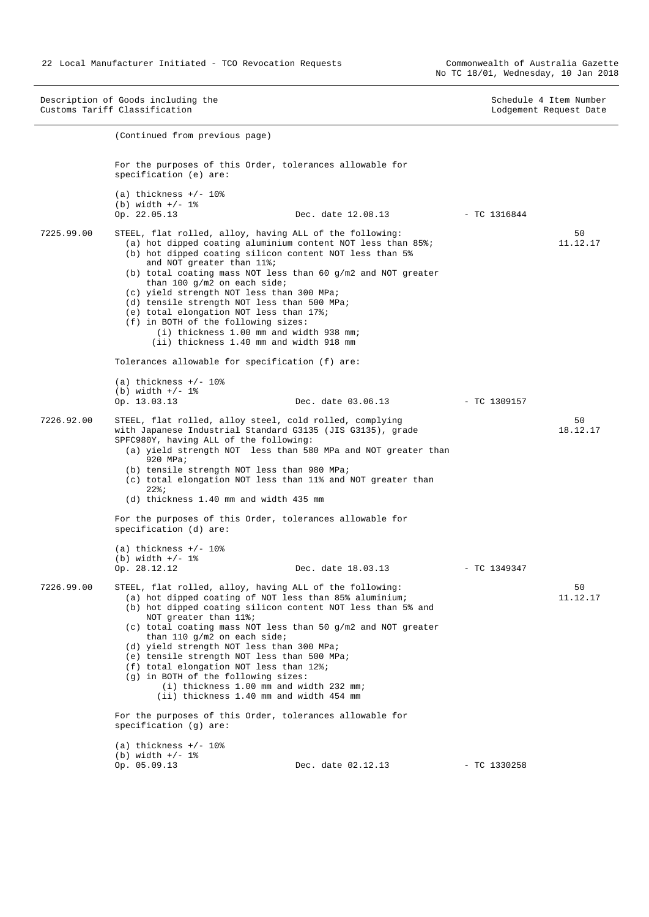Description of Goods including the Schedule 4 Item Number<br>
Customs Tariff Classification<br>
Customs Tariff Classification Customs Tariff Classification (Continued from previous page) For the purposes of this Order, tolerances allowable for specification (e) are: (a) thickness  $+/- 10$ % (b) width  $+/- 1$ %<br>Op. 22.05.13 Dec. date 12.08.13 - TC 1316844 7225.99.00 STEEL, flat rolled, alloy, having ALL of the following: (a) hot dipped coating aluminium content NOT less than 85%; (b) hot dipped coating silicon content NOT less than 5% and NOT greater than 11%; (b) total coating mass NOT less than 60 g/m2 and NOT greater than 100 g/m2 on each side; (c) yield strength NOT less than 300 MPa; (d) tensile strength NOT less than 500 MPa; (e) total elongation NOT less than 17%; (f) in BOTH of the following sizes: (i) thickness 1.00 mm and width 938 mm; (ii) thickness 1.40 mm and width 918 mm Tolerances allowable for specification (f) are:  $(a)$  thickness  $+/- 10$ % (b) width  $+/- 1$ %<br>Op. 13.03.13 Op. 13.03.13 Dec. date 03.06.13 - TC 1309157 50 11.12.17 7226.92.00 STEEL, flat rolled, alloy steel, cold rolled, complying with Japanese Industrial Standard G3135 (JIS G3135), grade SPFC980Y, having ALL of the following: (a) yield strength NOT less than 580 MPa and NOT greater than 920 MPa; (b) tensile strength NOT less than 980 MPa; (c) total elongation NOT less than 11% and NOT greater than 22%; (d) thickness 1.40 mm and width 435 mm For the purposes of this Order, tolerances allowable for specification (d) are:  $(a)$  thickness  $+/- 10$ % (b) width  $+/- 1$  %<br>Op. 28.12.12 Dec. date 18.03.13 - TC 1349347  $50$ 18.12.17 7226.99.00 STEEL, flat rolled, alloy, having ALL of the following: (a) hot dipped coating of NOT less than 85% aluminium; (b) hot dipped coating silicon content NOT less than 5% and NOT greater than 11%; (c) total coating mass NOT less than 50 g/m2 and NOT greater than 110 g/m2 on each side; (d) yield strength NOT less than 300 MPa; (e) tensile strength NOT less than 500 MPa; (f) total elongation NOT less than 12%; (g) in BOTH of the following sizes: (i) thickness 1.00 mm and width 232 mm; (ii) thickness 1.40 mm and width 454 mm For the purposes of this Order, tolerances allowable for specification (g) are: (a) thickness  $+/- 10$ % (b) width  $+/- 1$ %<br>Op. 05.09.13 Dec. date 02.12.13 - TC 1330258 50 11.12.17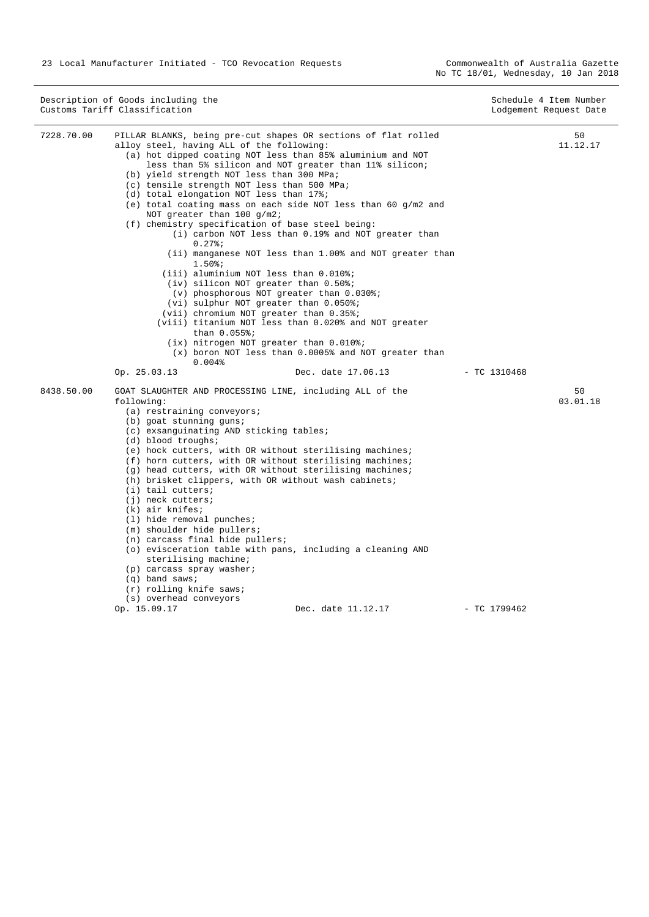23 Local Manufacturer Initiated - TCO Revocation Requests

|            | Description of Goods including the<br>Customs Tariff Classification                                                                                                                                                                                                                                                                                                                                           |                                                                                                                                                                                                                                                                                                                                                                                                                                                                                                                                                                                                                                                                                                                                                           |                | Schedule 4 Item Number<br>Lodgement Request Date |
|------------|---------------------------------------------------------------------------------------------------------------------------------------------------------------------------------------------------------------------------------------------------------------------------------------------------------------------------------------------------------------------------------------------------------------|-----------------------------------------------------------------------------------------------------------------------------------------------------------------------------------------------------------------------------------------------------------------------------------------------------------------------------------------------------------------------------------------------------------------------------------------------------------------------------------------------------------------------------------------------------------------------------------------------------------------------------------------------------------------------------------------------------------------------------------------------------------|----------------|--------------------------------------------------|
| 7228.70.00 | alloy steel, having ALL of the following:<br>(b) yield strength NOT less than 300 MPa;<br>(c) tensile strength NOT less than 500 MPa;<br>(d) total elongation NOT less than 17%;<br>NOT greater than $100 g/m2$ ;<br>(f) chemistry specification of base steel being:<br>$0.27$ $37$<br>$1.50$ $37$<br>than $0.055$ ;                                                                                         | PILLAR BLANKS, being pre-cut shapes OR sections of flat rolled<br>(a) hot dipped coating NOT less than 85% aluminium and NOT<br>less than 5% silicon and NOT greater than 11% silicon;<br>(e) total coating mass on each side NOT less than 60 $g/m2$ and<br>(i) carbon NOT less than 0.19% and NOT greater than<br>(ii) manganese NOT less than 1.00% and NOT greater than<br>(iii) aluminium NOT less than 0.010%;<br>$(iv)$ silicon NOT greater than $0.50$ ;<br>(v) phosphorous NOT greater than 0.030%;<br>(vi) sulphur NOT greater than 0.050%;<br>(vii) chromium NOT greater than 0.35%;<br>(viii) titanium NOT less than 0.020% and NOT greater<br>(ix) nitrogen NOT greater than 0.010%;<br>(x) boron NOT less than 0.0005% and NOT greater than |                | 50<br>11.12.17                                   |
|            | 0.004%<br>Op. 25.03.13                                                                                                                                                                                                                                                                                                                                                                                        | Dec. date 17.06.13                                                                                                                                                                                                                                                                                                                                                                                                                                                                                                                                                                                                                                                                                                                                        | $-$ TC 1310468 |                                                  |
| 8438.50.00 | following:<br>$(a)$ restraining conveyors;<br>(b) goat stunning guns;<br>(c) exsanguinating AND sticking tables;<br>(d) blood troughs;<br>$(i)$ tail cutters;<br>(j) neck cutters;<br>$(k)$ air knifes;<br>$(1)$ hide removal punches;<br>(m) shoulder hide pullers;<br>(n) carcass final hide pullers;<br>sterilising machine;<br>(p) carcass spray washer;<br>$(q)$ band saws;<br>$(r)$ rolling knife saws; | GOAT SLAUGHTER AND PROCESSING LINE, including ALL of the<br>(e) hock cutters, with OR without sterilising machines;<br>(f) horn cutters, with OR without sterilising machines;<br>(g) head cutters, with OR without sterilising machines;<br>(h) brisket clippers, with OR without wash cabinets;<br>(o) evisceration table with pans, including a cleaning AND                                                                                                                                                                                                                                                                                                                                                                                           |                | 50<br>03.01.18                                   |
|            | (s) overhead conveyors<br>Op. 15.09.17                                                                                                                                                                                                                                                                                                                                                                        | Dec. date 11.12.17                                                                                                                                                                                                                                                                                                                                                                                                                                                                                                                                                                                                                                                                                                                                        | $-$ TC 1799462 |                                                  |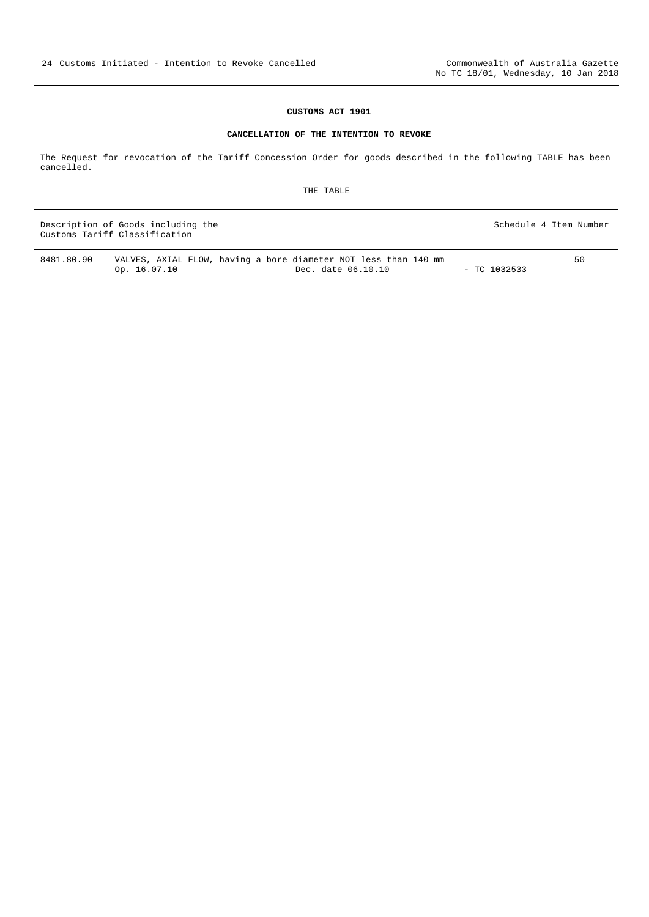#### **CUSTOMS ACT 1901**

#### **CANCELLATION OF THE INTENTION TO REVOKE**

<span id="page-23-0"></span>The Request for revocation of the Tariff Concession Order for goods described in the following TABLE has been cancelled.

THE TABLE

Description of Goods including the Schedule 4 Item Number Customs Tariff Classification

8481.80.90 VALVES, AXIAL FLOW, having a bore diameter NOT less than 140 mm Dec. date 06.10.10 - TC 1032533 50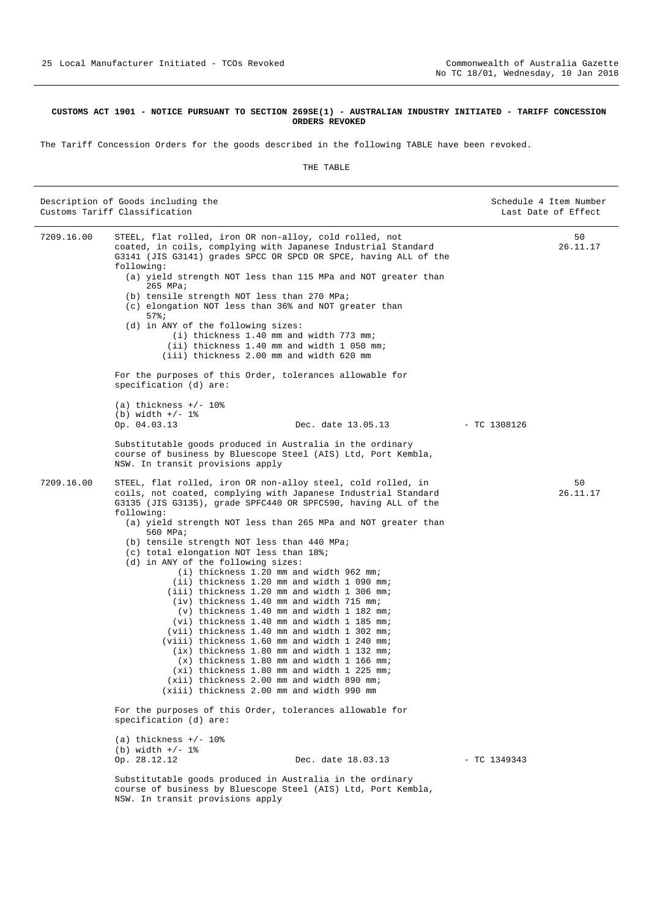#### <span id="page-24-0"></span>**CUSTOMS ACT 1901 - NOTICE PURSUANT TO SECTION 269SE(1) - AUSTRALIAN INDUSTRY INITIATED - TARIFF CONCESSION ORDERS REVOKED**

The Tariff Concession Orders for the goods described in the following TABLE have been revoked.

|            | Description of Goods including the<br>Customs Tariff Classification                                                                                                                                                                                                                                                                                                                                                                                                                                                                                                                                                                                                                                                                                                                                                                                                                                                                                                                                                                              |                | Schedule 4 Item Number<br>Last Date of Effect |
|------------|--------------------------------------------------------------------------------------------------------------------------------------------------------------------------------------------------------------------------------------------------------------------------------------------------------------------------------------------------------------------------------------------------------------------------------------------------------------------------------------------------------------------------------------------------------------------------------------------------------------------------------------------------------------------------------------------------------------------------------------------------------------------------------------------------------------------------------------------------------------------------------------------------------------------------------------------------------------------------------------------------------------------------------------------------|----------------|-----------------------------------------------|
| 7209.16.00 | STEEL, flat rolled, iron OR non-alloy, cold rolled, not<br>coated, in coils, complying with Japanese Industrial Standard<br>G3141 (JIS G3141) grades SPCC OR SPCD OR SPCE, having ALL of the<br>following:<br>(a) yield strength NOT less than 115 MPa and NOT greater than<br>265 MPa;<br>(b) tensile strength NOT less than 270 MPa;<br>(c) elongation NOT less than 36% and NOT greater than<br>$57$ $37$<br>(d) in ANY of the following sizes:<br>(i) thickness 1.40 mm and width 773 mm;<br>(ii) thickness 1.40 mm and width 1 050 mm;<br>(iii) thickness 2.00 mm and width 620 mm                                                                                                                                                                                                                                                                                                                                                                                                                                                          |                | 50<br>26.11.17                                |
|            | For the purposes of this Order, tolerances allowable for<br>specification (d) are:                                                                                                                                                                                                                                                                                                                                                                                                                                                                                                                                                                                                                                                                                                                                                                                                                                                                                                                                                               |                |                                               |
|            | (a) thickness $+/- 108$<br>(b) width $+/- 1$ %<br>Op. 04.03.13<br>Dec. date 13.05.13                                                                                                                                                                                                                                                                                                                                                                                                                                                                                                                                                                                                                                                                                                                                                                                                                                                                                                                                                             | $-$ TC 1308126 |                                               |
|            | Substitutable goods produced in Australia in the ordinary<br>course of business by Bluescope Steel (AIS) Ltd, Port Kembla,<br>NSW. In transit provisions apply                                                                                                                                                                                                                                                                                                                                                                                                                                                                                                                                                                                                                                                                                                                                                                                                                                                                                   |                |                                               |
| 7209.16.00 | STEEL, flat rolled, iron OR non-alloy steel, cold rolled, in<br>coils, not coated, complying with Japanese Industrial Standard<br>G3135 (JIS G3135), grade SPFC440 OR SPFC590, having ALL of the<br>following:<br>(a) yield strength NOT less than 265 MPa and NOT greater than<br>560 MPa;<br>(b) tensile strength NOT less than 440 MPa;<br>(c) total elongation NOT less than 18%;<br>(d) in ANY of the following sizes:<br>(i) thickness 1.20 mm and width 962 mm;<br>(ii) thickness 1.20 mm and width 1 090 mm;<br>(iii) thickness 1.20 mm and width 1 306 mm;<br>(iv) thickness 1.40 mm and width 715 mm;<br>$(v)$ thickness 1.40 mm and width 1 182 mm;<br>(vi) thickness 1.40 mm and width 1 185 mm;<br>(vii) thickness 1.40 mm and width 1 302 mm;<br>(viii) thickness 1.60 mm and width 1 240 mm;<br>(ix) thickness 1.80 mm and width 1 132 mm;<br>$(x)$ thickness 1.80 mm and width 1 166 mm;<br>(xi) thickness 1.80 mm and width 1 225 mm;<br>(xii) thickness 2.00 mm and width 890 mm;<br>(xiii) thickness 2.00 mm and width 990 mm |                | 50<br>26.11.17                                |
|            | For the purposes of this Order, tolerances allowable for<br>specification (d) are:                                                                                                                                                                                                                                                                                                                                                                                                                                                                                                                                                                                                                                                                                                                                                                                                                                                                                                                                                               |                |                                               |
|            | (a) thickness $+/- 10$ %<br>(b) width $+/- 1$ %<br>Op. 28.12.12<br>Dec. date 18.03.13                                                                                                                                                                                                                                                                                                                                                                                                                                                                                                                                                                                                                                                                                                                                                                                                                                                                                                                                                            | $- TC 1349343$ |                                               |
|            | Substitutable goods produced in Australia in the ordinary<br>course of business by Bluescope Steel (AIS) Ltd, Port Kembla,<br>NSW. In transit provisions apply                                                                                                                                                                                                                                                                                                                                                                                                                                                                                                                                                                                                                                                                                                                                                                                                                                                                                   |                |                                               |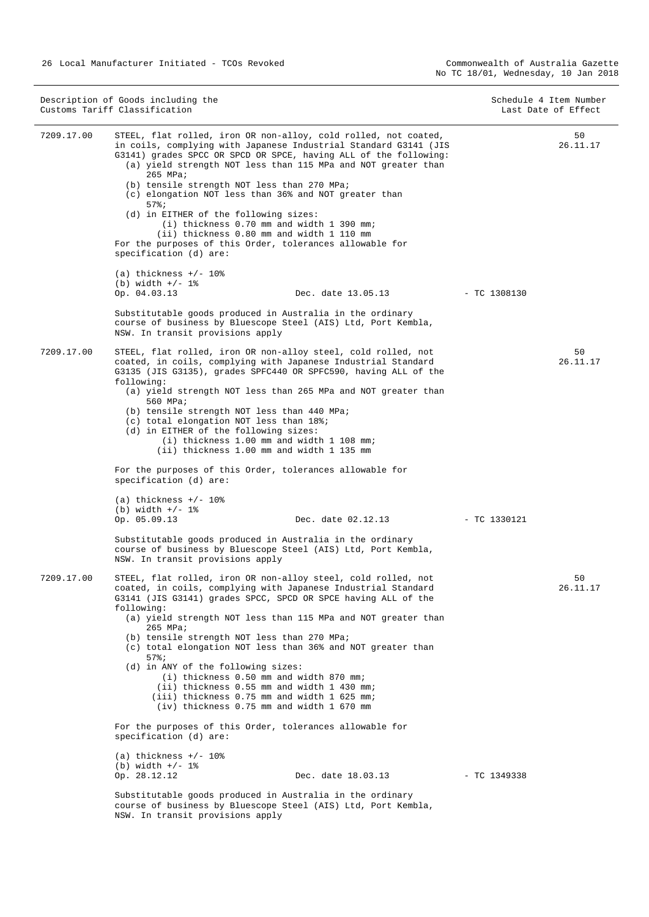NSW. In transit provisions apply

|            | Description of Goods including the<br>Customs Tariff Classification                                                                                                                                                                                                                                                                                                                                                                                                                                                                                                                                                                                                                                                                                                                 |                | Schedule 4 Item Number<br>Last Date of Effect |
|------------|-------------------------------------------------------------------------------------------------------------------------------------------------------------------------------------------------------------------------------------------------------------------------------------------------------------------------------------------------------------------------------------------------------------------------------------------------------------------------------------------------------------------------------------------------------------------------------------------------------------------------------------------------------------------------------------------------------------------------------------------------------------------------------------|----------------|-----------------------------------------------|
| 7209.17.00 | STEEL, flat rolled, iron OR non-alloy, cold rolled, not coated,<br>in coils, complying with Japanese Industrial Standard G3141 (JIS<br>G3141) grades SPCC OR SPCD OR SPCE, having ALL of the following:<br>(a) yield strength NOT less than 115 MPa and NOT greater than<br>$265$ MPa;<br>(b) tensile strength NOT less than 270 MPa;<br>(c) elongation NOT less than 36% and NOT greater than<br>$57$ $% j$<br>(d) in EITHER of the following sizes:<br>$(i)$ thickness 0.70 mm and width 1 390 mm;<br>(ii) thickness 0.80 mm and width 1 110 mm<br>For the purposes of this Order, tolerances allowable for<br>specification (d) are:                                                                                                                                             |                | 50<br>26.11.17                                |
|            | (a) thickness $+/- 10\%$<br>$(b) width +/- 1$ %                                                                                                                                                                                                                                                                                                                                                                                                                                                                                                                                                                                                                                                                                                                                     |                |                                               |
|            | Op. 04.03.13<br>Dec. date 13.05.13                                                                                                                                                                                                                                                                                                                                                                                                                                                                                                                                                                                                                                                                                                                                                  | $-$ TC 1308130 |                                               |
|            | Substitutable goods produced in Australia in the ordinary<br>course of business by Bluescope Steel (AIS) Ltd, Port Kembla,<br>NSW. In transit provisions apply                                                                                                                                                                                                                                                                                                                                                                                                                                                                                                                                                                                                                      |                |                                               |
| 7209.17.00 | STEEL, flat rolled, iron OR non-alloy steel, cold rolled, not<br>coated, in coils, complying with Japanese Industrial Standard<br>G3135 (JIS G3135), grades SPFC440 OR SPFC590, having ALL of the<br>following:<br>(a) yield strength NOT less than 265 MPa and NOT greater than<br>560 MPa;<br>(b) tensile strength NOT less than 440 MPa;<br>(c) total elongation NOT less than 18%;<br>(d) in EITHER of the following sizes:<br>(i) thickness 1.00 mm and width 1 108 mm;<br>(ii) thickness 1.00 mm and width 1 135 mm                                                                                                                                                                                                                                                           |                | 50<br>26.11.17                                |
|            | For the purposes of this Order, tolerances allowable for<br>specification (d) are:                                                                                                                                                                                                                                                                                                                                                                                                                                                                                                                                                                                                                                                                                                  |                |                                               |
|            | (a) thickness $+/- 108$                                                                                                                                                                                                                                                                                                                                                                                                                                                                                                                                                                                                                                                                                                                                                             |                |                                               |
|            | (b) width $+/- 1$ %<br>Op. 05.09.13<br>Dec. date 02.12.13                                                                                                                                                                                                                                                                                                                                                                                                                                                                                                                                                                                                                                                                                                                           | $-$ TC 1330121 |                                               |
|            | Substitutable goods produced in Australia in the ordinary<br>course of business by Bluescope Steel (AIS) Ltd, Port Kembla,<br>NSW. In transit provisions apply                                                                                                                                                                                                                                                                                                                                                                                                                                                                                                                                                                                                                      |                |                                               |
| 7209.17.00 | STEEL, flat rolled, iron OR non-alloy steel, cold rolled, not<br>coated, in coils, complying with Japanese Industrial Standard<br>G3141 (JIS G3141) grades SPCC, SPCD OR SPCE having ALL of the<br>following:<br>(a) yield strength NOT less than 115 MPa and NOT greater than<br>265 MPa;<br>(b) tensile strength NOT less than 270 MPa;<br>(c) total elongation NOT less than 36% and NOT greater than<br>57%;<br>(d) in ANY of the following sizes:<br>(i) thickness 0.50 mm and width 870 mm;<br>(ii) thickness 0.55 mm and width 1 430 mm;<br>(iii) thickness 0.75 mm and width 1 625 mm;<br>(iv) thickness 0.75 mm and width 1 670 mm<br>For the purposes of this Order, tolerances allowable for<br>specification (d) are:<br>(a) thickness $+/- 108$<br>(b) width $+/- 1$ % |                | 50<br>26.11.17                                |
|            | Op. 28.12.12<br>Dec. date 18.03.13                                                                                                                                                                                                                                                                                                                                                                                                                                                                                                                                                                                                                                                                                                                                                  | $- TC 1349338$ |                                               |
|            | Substitutable goods produced in Australia in the ordinary<br>course of business by Bluescope Steel (AIS) Ltd, Port Kembla,                                                                                                                                                                                                                                                                                                                                                                                                                                                                                                                                                                                                                                                          |                |                                               |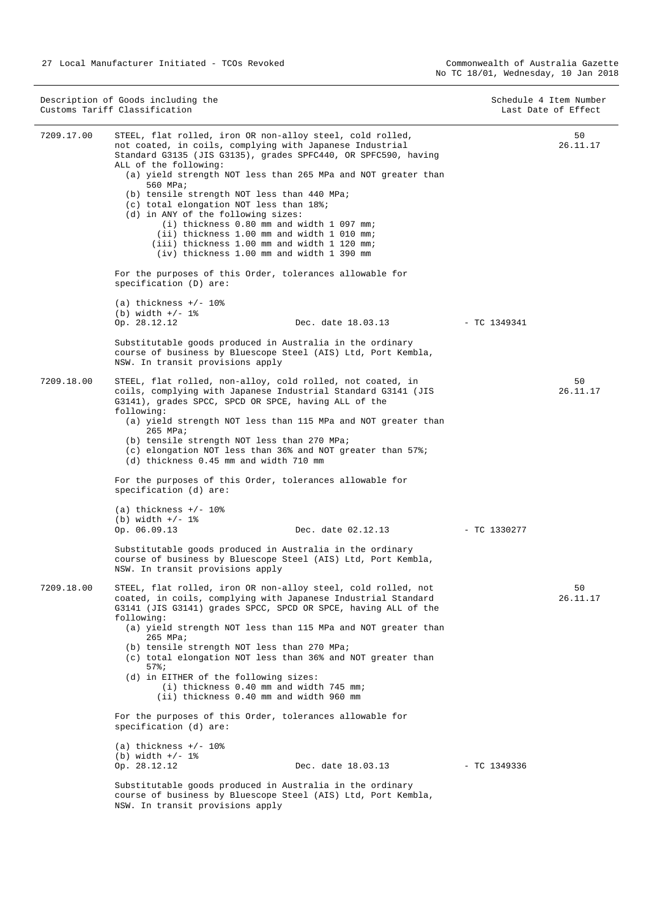Description of Goods including the Schedule 4 Item Number<br>
Customs Tariff Classification<br>
Schedule 4 Item Number Customs Tariff Classification 7209.17.00 STEEL, flat rolled, iron OR non-alloy steel, cold rolled, not coated, in coils, complying with Japanese Industrial Standard G3135 (JIS G3135), grades SPFC440, OR SPFC590, having ALL of the following: (a) yield strength NOT less than 265 MPa and NOT greater than 560 MPa; (b) tensile strength NOT less than 440 MPa; (c) total elongation NOT less than 18%; (d) in ANY of the following sizes: (i) thickness 0.80 mm and width 1 097 mm; (ii) thickness 1.00 mm and width 1 010 mm; (iii) thickness 1.00 mm and width 1 120 mm; (iv) thickness 1.00 mm and width 1 390 mm For the purposes of this Order, tolerances allowable for specification (D) are:  $(a)$  thickness  $+/-$  10% (b) width  $+/- 1$ %<br>Op. 28.12.12 Dec. date 18.03.13 - TC 1349341 Substitutable goods produced in Australia in the ordinary course of business by Bluescope Steel (AIS) Ltd, Port Kembla, NSW. In transit provisions apply  $50$ 26.11.17 7209.18.00 STEEL, flat rolled, non-alloy, cold rolled, not coated, in coils, complying with Japanese Industrial Standard G3141 (JIS G3141), grades SPCC, SPCD OR SPCE, having ALL of the following: (a) yield strength NOT less than 115 MPa and NOT greater than 265 MPa; (b) tensile strength NOT less than 270 MPa; (c) elongation NOT less than 36% and NOT greater than 57%; (d) thickness 0.45 mm and width 710 mm For the purposes of this Order, tolerances allowable for specification (d) are:  $(a)$  thickness  $+/- 10$ % (b) width  $+/- 1$  %<br>Op. 06.09.13 Dec. date 02.12.13 - TC 1330277 Substitutable goods produced in Australia in the ordinary course of business by Bluescope Steel (AIS) Ltd, Port Kembla, NSW. In transit provisions apply  $50$ 26.11.17 7209.18.00 STEEL, flat rolled, iron OR non-alloy steel, cold rolled, not coated, in coils, complying with Japanese Industrial Standard G3141 (JIS G3141) grades SPCC, SPCD OR SPCE, having ALL of the following: (a) yield strength NOT less than 115 MPa and NOT greater than 265 MPa; (b) tensile strength NOT less than 270 MPa; (c) total elongation NOT less than 36% and NOT greater than 57%; (d) in EITHER of the following sizes: (i) thickness 0.40 mm and width 745 mm; (ii) thickness 0.40 mm and width 960 mm For the purposes of this Order, tolerances allowable for specification (d) are: (a) thickness  $+/- 10$ % (b) width  $+/- 1$  %<br>Op. 28.12.12 Dec. date 18.03.13 - TC 1349336 Substitutable goods produced in Australia in the ordinary course of business by Bluescope Steel (AIS) Ltd, Port Kembla,  $50$ 26.11.17

NSW. In transit provisions apply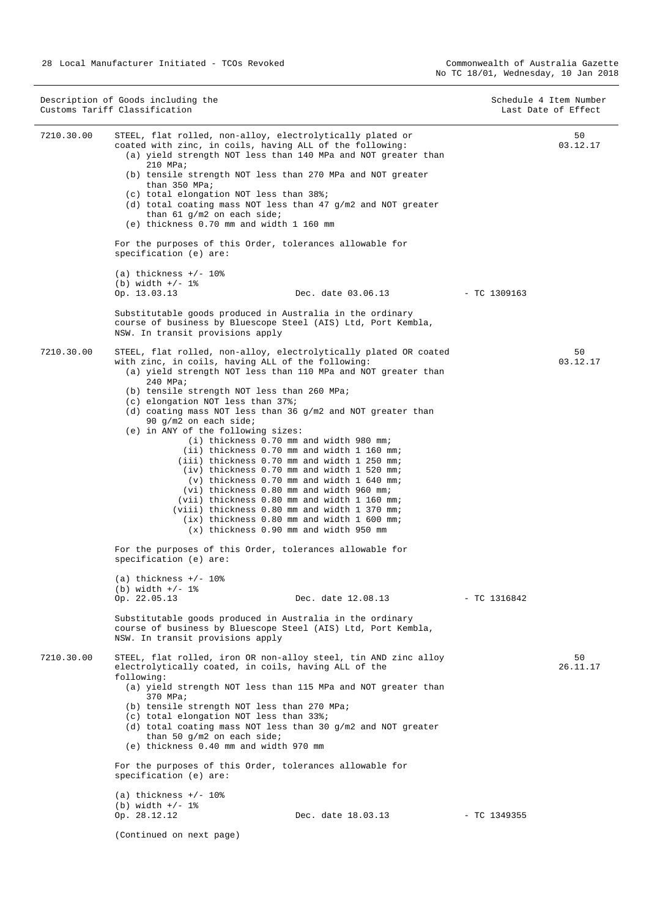Description of Goods including the Schedule 4 Item Number<br>
Customs Tariff Classification<br>
Schedule 4 Item Number Customs Tariff Classification 7210.30.00 STEEL, flat rolled, non-alloy, electrolytically plated or coated with zinc, in coils, having ALL of the following: (a) yield strength NOT less than 140 MPa and NOT greater than 210 MPa; (b) tensile strength NOT less than 270 MPa and NOT greater than 350 MPa; (c) total elongation NOT less than 38%; (d) total coating mass NOT less than 47 g/m2 and NOT greater than 61 g/m2 on each side; (e) thickness 0.70 mm and width 1 160 mm For the purposes of this Order, tolerances allowable for specification (e) are:  $(a)$  thickness  $+/- 10$ % (b) width  $+/- 1$ %<br>Op. 13.03.13 Dec. date 03.06.13 - TC 1309163 Substitutable goods produced in Australia in the ordinary course of business by Bluescope Steel (AIS) Ltd, Port Kembla, NSW. In transit provisions apply  $50$ 03.12.17 7210.30.00 STEEL, flat rolled, non-alloy, electrolytically plated OR coated with zinc, in coils, having ALL of the following: (a) yield strength NOT less than 110 MPa and NOT greater than 240 MPa; (b) tensile strength NOT less than 260 MPa; (c) elongation NOT less than 37%; (d) coating mass NOT less than 36 g/m2 and NOT greater than 90 g/m2 on each side; (e) in ANY of the following sizes: (i) thickness 0.70 mm and width 980 mm; (ii) thickness 0.70 mm and width 1 160 mm; (iii) thickness 0.70 mm and width 1 250 mm; (iv) thickness 0.70 mm and width 1 520 mm; (v) thickness 0.70 mm and width 1 640 mm; (vi) thickness 0.80 mm and width 960 mm; (vii) thickness 0.80 mm and width 1 160 mm; (viii) thickness 0.80 mm and width 1 370 mm; (ix) thickness 0.80 mm and width 1 600 mm; (x) thickness 0.90 mm and width 950 mm For the purposes of this Order, tolerances allowable for specification (e) are:  $(a)$  thickness  $+/- 10$ % (b) width  $+/- 1$ %<br>Op. 22.05.13 Dec. date 12.08.13 - TC 1316842 Substitutable goods produced in Australia in the ordinary course of business by Bluescope Steel (AIS) Ltd, Port Kembla, NSW. In transit provisions apply 50 03.12.17 7210.30.00 STEEL, flat rolled, iron OR non-alloy steel, tin AND zinc alloy electrolytically coated, in coils, having ALL of the following: (a) yield strength NOT less than 115 MPa and NOT greater than 370 MPa; (b) tensile strength NOT less than 270 MPa; (c) total elongation NOT less than 33%; (d) total coating mass NOT less than 30 g/m2 and NOT greater than 50 g/m2 on each side; (e) thickness 0.40 mm and width 970 mm For the purposes of this Order, tolerances allowable for specification (e) are:  $(a)$  thickness  $+/$ - 10% (b) width  $+/- 1$ %<br>Op. 28.12.12 Dec. date 18.03.13 - TC 1349355 (Continued on next page) 50 26.11.17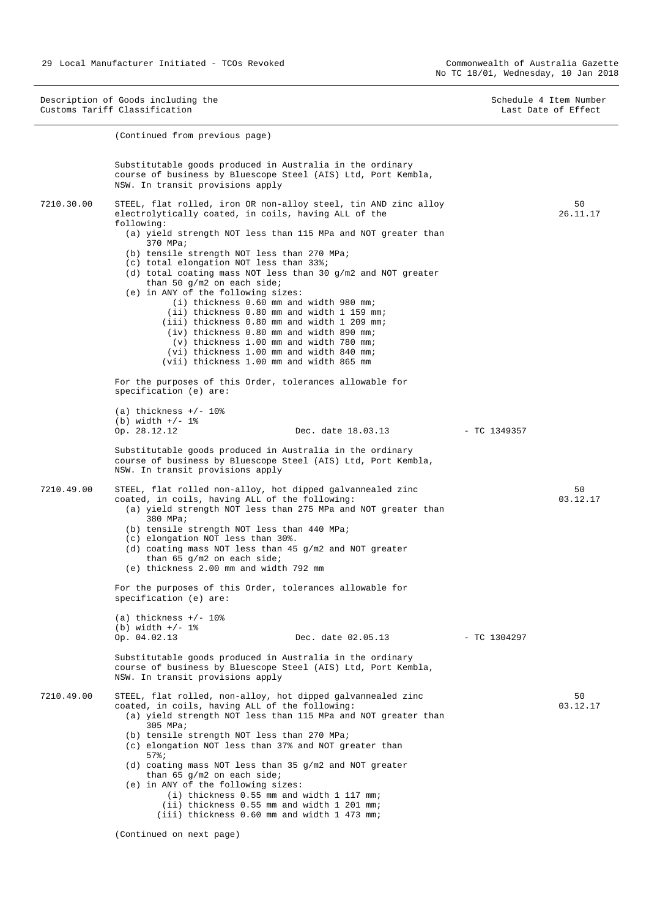Description of Goods including the Schedule 4 Item Number<br>
Customs Tariff Classification<br>
Schedule 4 Item Number Customs Tariff Classification (Continued from previous page) Substitutable goods produced in Australia in the ordinary course of business by Bluescope Steel (AIS) Ltd, Port Kembla, NSW. In transit provisions apply 7210.30.00 STEEL, flat rolled, iron OR non-alloy steel, tin AND zinc alloy electrolytically coated, in coils, having ALL of the following: (a) yield strength NOT less than 115 MPa and NOT greater than 370 MPa; (b) tensile strength NOT less than 270 MPa; (c) total elongation NOT less than 33%; (d) total coating mass NOT less than 30 g/m2 and NOT greater than 50 g/m2 on each side; (e) in ANY of the following sizes: (i) thickness 0.60 mm and width 980 mm; (ii) thickness 0.80 mm and width 1 159 mm; (iii) thickness 0.80 mm and width 1 209 mm; (iv) thickness 0.80 mm and width 890 mm; (v) thickness 1.00 mm and width 780 mm; (vi) thickness 1.00 mm and width 840 mm; (vii) thickness 1.00 mm and width 865 mm For the purposes of this Order, tolerances allowable for specification (e) are:  $(a)$  thickness  $+/$ - 10% (b) width  $+/- 1$  %<br>Op. 28.12.12 Dec. date 18.03.13 - TC 1349357 Substitutable goods produced in Australia in the ordinary course of business by Bluescope Steel (AIS) Ltd, Port Kembla, NSW. In transit provisions apply 50 26.11.17 7210.49.00 STEEL, flat rolled non-alloy, hot dipped galvannealed zinc coated, in coils, having ALL of the following: (a) yield strength NOT less than 275 MPa and NOT greater than 380 MPa; (b) tensile strength NOT less than 440 MPa; (c) elongation NOT less than 30%. (d) coating mass NOT less than 45 g/m2 and NOT greater than 65 g/m2 on each side; (e) thickness 2.00 mm and width 792 mm For the purposes of this Order, tolerances allowable for specification (e) are: (a) thickness  $+/- 10$ % (b) width  $+/- 1$  %<br>Op.  $04.02.13$ Op. 04.02.13 Dec. date 02.05.13 - TC 1304297 Substitutable goods produced in Australia in the ordinary course of business by Bluescope Steel (AIS) Ltd, Port Kembla, NSW. In transit provisions apply  $50$ 03.12.17 7210.49.00 STEEL, flat rolled, non-alloy, hot dipped galvannealed zinc coated, in coils, having ALL of the following: (a) yield strength NOT less than 115 MPa and NOT greater than 305 MPa; (b) tensile strength NOT less than 270 MPa; (c) elongation NOT less than 37% and NOT greater than 57%; (d) coating mass NOT less than 35 g/m2 and NOT greater than 65 g/m2 on each side; (e) in ANY of the following sizes: (i) thickness 0.55 mm and width 1 117 mm; (ii) thickness 0.55 mm and width 1 201 mm; (iii) thickness 0.60 mm and width 1 473 mm; 50 03.12.17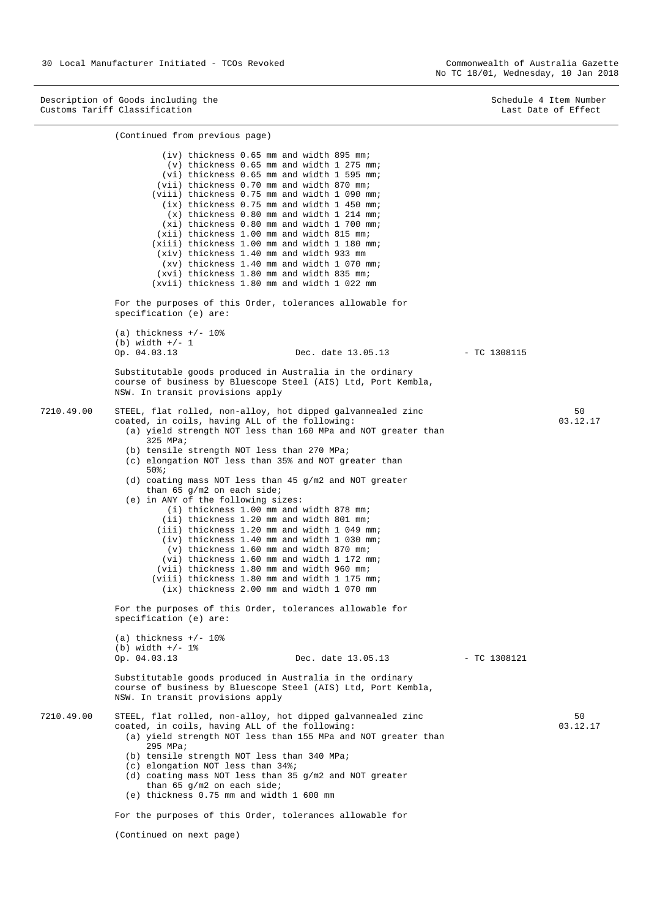Description of Goods including the Schedule 4 Item Number (Schedule 4 Item Number (Schedule 4 Item Number (Schedule 4 Item Number (Schedule 4 Item Number (Schedule 4 Item Number (Schedule 4 Item Number (Schedule 4 Item Num Customs Tariff Classification **Last Date of Effect** Customs Tariff Classification

|            | (Continued from previous page)                                                                                                                                                                                                                                                                                                                                                                                                                                                                                                                                                                                                                                                                                                                                                                                                                                                                                                        |                |                |
|------------|---------------------------------------------------------------------------------------------------------------------------------------------------------------------------------------------------------------------------------------------------------------------------------------------------------------------------------------------------------------------------------------------------------------------------------------------------------------------------------------------------------------------------------------------------------------------------------------------------------------------------------------------------------------------------------------------------------------------------------------------------------------------------------------------------------------------------------------------------------------------------------------------------------------------------------------|----------------|----------------|
|            | (iv) thickness 0.65 mm and width 895 mm;<br>(v) thickness 0.65 mm and width 1 275 mm;<br>(vi) thickness 0.65 mm and width 1 595 mm;<br>(vii) thickness 0.70 mm and width 870 mm;<br>(viii) thickness 0.75 mm and width 1 090 mm;<br>(ix) thickness 0.75 mm and width 1 450 mm;<br>(x) thickness 0.80 mm and width 1 214 mm;<br>(xi) thickness 0.80 mm and width 1 700 mm;<br>(xii) thickness 1.00 mm and width 815 mm;<br>(xiii) thickness 1.00 mm and width 1 180 mm;<br>(xiv) thickness 1.40 mm and width 933 mm<br>(xy) thickness 1.40 mm and width 1 070 mm;<br>(xvi) thickness 1.80 mm and width 835 mm;<br>(xvii) thickness 1.80 mm and width 1 022 mm                                                                                                                                                                                                                                                                          |                |                |
|            | For the purposes of this Order, tolerances allowable for<br>specification (e) are:                                                                                                                                                                                                                                                                                                                                                                                                                                                                                                                                                                                                                                                                                                                                                                                                                                                    |                |                |
|            | (a) thickness $+/- 10\%$<br>(b) width $+/- 1$<br>Op. 04.03.13<br>Dec. date 13.05.13                                                                                                                                                                                                                                                                                                                                                                                                                                                                                                                                                                                                                                                                                                                                                                                                                                                   | $-$ TC 1308115 |                |
|            | Substitutable goods produced in Australia in the ordinary<br>course of business by Bluescope Steel (AIS) Ltd, Port Kembla,<br>NSW. In transit provisions apply                                                                                                                                                                                                                                                                                                                                                                                                                                                                                                                                                                                                                                                                                                                                                                        |                |                |
| 7210.49.00 | STEEL, flat rolled, non-alloy, hot dipped galvannealed zinc<br>coated, in coils, having ALL of the following:<br>(a) yield strength NOT less than 160 MPa and NOT greater than<br>$325$ MPa;<br>(b) tensile strength NOT less than 270 MPa;<br>(c) elongation NOT less than 35% and NOT greater than<br>$50$ $i$<br>(d) coating mass NOT less than 45 $g/m2$ and NOT greater<br>than 65 $q/m2$ on each side;<br>(e) in ANY of the following sizes:<br>(i) thickness 1.00 mm and width 878 mm;<br>(ii) thickness 1.20 mm and width 801 mm;<br>(iii) thickness 1.20 mm and width 1 049 mm;<br>(iv) thickness 1.40 mm and width 1 030 mm;<br>(v) thickness 1.60 mm and width 870 mm;<br>(vi) thickness 1.60 mm and width 1 172 mm;<br>(vii) thickness 1.80 mm and width 960 mm;<br>(viii) thickness 1.80 mm and width 1 175 mm;<br>(ix) thickness 2.00 mm and width 1 070 mm<br>For the purposes of this Order, tolerances allowable for |                | 50<br>03.12.17 |
|            | specification (e) are:<br>(a) thickness $+/$ - 10%<br>$(b) width +/- 1$ %<br>Op. 04.03.13<br>Dec. date 13.05.13                                                                                                                                                                                                                                                                                                                                                                                                                                                                                                                                                                                                                                                                                                                                                                                                                       | $-$ TC 1308121 |                |
|            | Substitutable goods produced in Australia in the ordinary<br>course of business by Bluescope Steel (AIS) Ltd, Port Kembla,<br>NSW. In transit provisions apply                                                                                                                                                                                                                                                                                                                                                                                                                                                                                                                                                                                                                                                                                                                                                                        |                |                |
| 7210.49.00 | STEEL, flat rolled, non-alloy, hot dipped galvannealed zinc<br>coated, in coils, having ALL of the following:<br>(a) yield strength NOT less than 155 MPa and NOT greater than<br>295 MPa;<br>(b) tensile strength NOT less than 340 MPa;<br>(c) elongation NOT less than 34%;<br>(d) coating mass NOT less than 35 $g/m2$ and NOT greater<br>than 65 $q/m2$ on each side;<br>(e) thickness 0.75 mm and width 1 600 mm<br>For the purposes of this Order, tolerances allowable for                                                                                                                                                                                                                                                                                                                                                                                                                                                    |                | 50<br>03.12.17 |

(Continued on next page)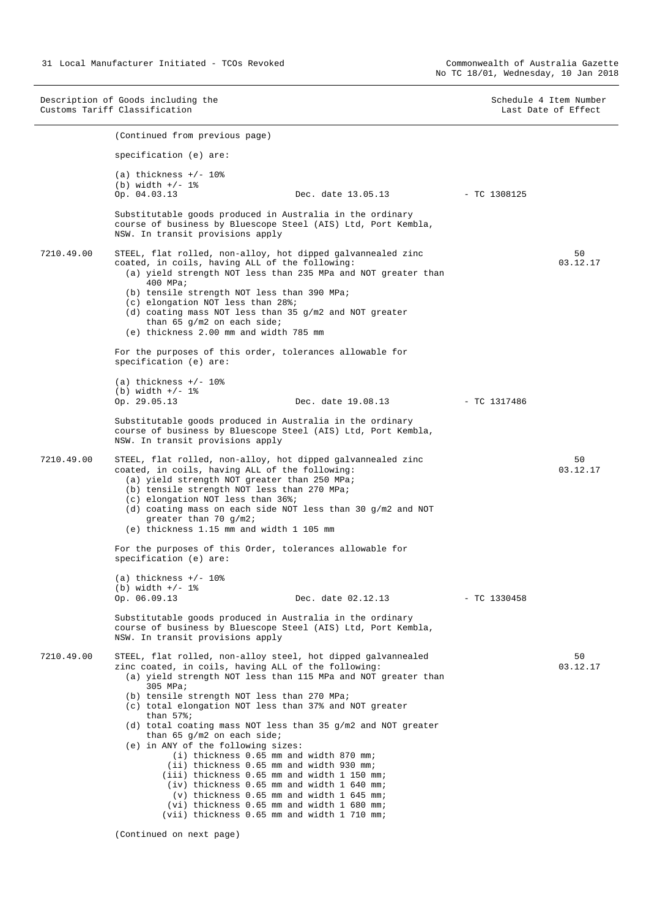Description of Goods including the Schedule 4 Item Number<br>
Customs Tariff Classification<br>
Schedule 4 Item Number Customs Tariff Classification (Continued from previous page) specification (e) are:  $(a)$  thickness  $+/$ - 10% (b) width  $+/- 1$ %<br>Op. 04.03.13 Dec. date 13.05.13 - TC 1308125 Substitutable goods produced in Australia in the ordinary course of business by Bluescope Steel (AIS) Ltd, Port Kembla, NSW. In transit provisions apply 7210.49.00 STEEL, flat rolled, non-alloy, hot dipped galvannealed zinc coated, in coils, having ALL of the following: (a) yield strength NOT less than 235 MPa and NOT greater than 400 MPa; (b) tensile strength NOT less than 390 MPa; (c) elongation NOT less than 28%; (d) coating mass NOT less than 35 g/m2 and NOT greater than 65 g/m2 on each side; (e) thickness 2.00 mm and width 785 mm For the purposes of this order, tolerances allowable for specification (e) are: (a) thickness  $+/- 10$ % (b) width  $+/- 1$ %<br>Op. 29.05.13 Op. 29.05.13 Dec. date 19.08.13 - TC 1317486 Substitutable goods produced in Australia in the ordinary course of business by Bluescope Steel (AIS) Ltd, Port Kembla, NSW. In transit provisions apply 50 03.12.17 7210.49.00 STEEL, flat rolled, non-alloy, hot dipped galvannealed zinc coated, in coils, having ALL of the following: (a) yield strength NOT greater than 250 MPa; (b) tensile strength NOT less than 270 MPa; (c) elongation NOT less than 36%; (d) coating mass on each side NOT less than 30 g/m2 and NOT greater than 70 g/m2; (e) thickness 1.15 mm and width 1 105 mm For the purposes of this Order, tolerances allowable for specification (e) are:  $(a)$  thickness  $+/$ - 10% (b) width  $+/- 1$ %<br>Op. 06.09.13 Dec. date 02.12.13 - TC 1330458 Substitutable goods produced in Australia in the ordinary course of business by Bluescope Steel (AIS) Ltd, Port Kembla, NSW. In transit provisions apply 50 03.12.17 7210.49.00 STEEL, flat rolled, non-alloy steel, hot dipped galvannealed zinc coated, in coils, having ALL of the following: (a) yield strength NOT less than 115 MPa and NOT greater than 305 MPa; (b) tensile strength NOT less than 270 MPa; (c) total elongation NOT less than 37% and NOT greater than 57%; (d) total coating mass NOT less than 35 g/m2 and NOT greater than 65 g/m2 on each side; (e) in ANY of the following sizes: (i) thickness 0.65 mm and width 870 mm; (ii) thickness 0.65 mm and width 930 mm; (iii) thickness 0.65 mm and width 1 150 mm; (iv) thickness 0.65 mm and width 1 640 mm; (v) thickness 0.65 mm and width 1 645 mm; (vi) thickness 0.65 mm and width 1 680 mm; (vii) thickness 0.65 mm and width 1 710 mm; 50 03.12.17

(Continued on next page)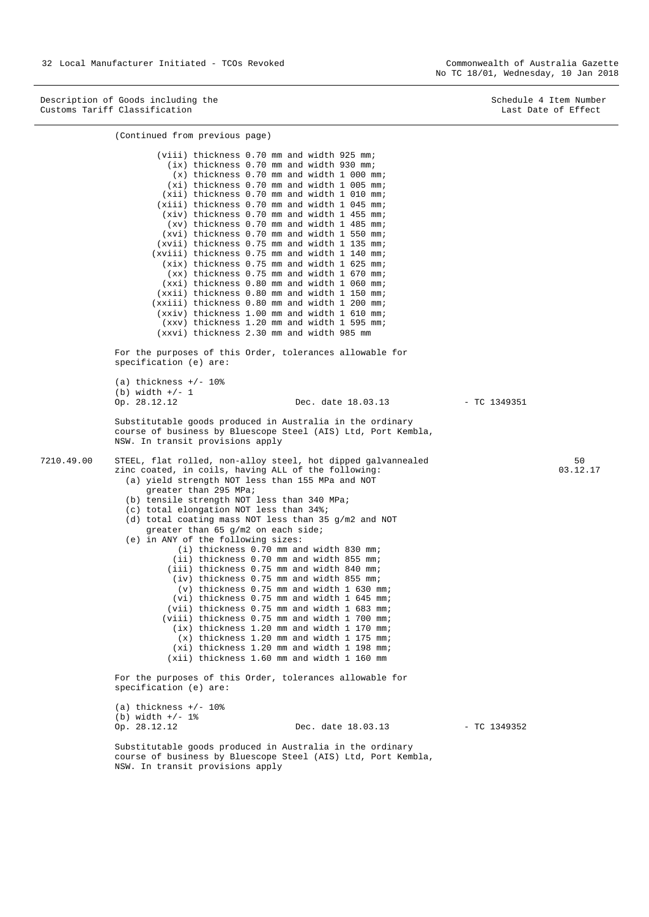(Continued from previous page)

Description of Goods including the Schedule 4 Item Number<br>
Customs Tariff Classification<br>
Schedule 4 Item Number Customs Tariff Classification

 (viii) thickness 0.70 mm and width 925 mm; (ix) thickness 0.70 mm and width 930 mm; (x) thickness 0.70 mm and width 1 000 mm; (xi) thickness 0.70 mm and width 1 005 mm; (xii) thickness 0.70 mm and width 1 010 mm; (xiii) thickness 0.70 mm and width 1 045 mm; (xiv) thickness 0.70 mm and width 1 455 mm; (xv) thickness 0.70 mm and width 1 485 mm; (xvi) thickness 0.70 mm and width 1 550 mm; (xvii) thickness 0.75 mm and width 1 135 mm; (xviii) thickness 0.75 mm and width 1 140 mm; (xix) thickness 0.75 mm and width 1 625 mm; (xx) thickness 0.75 mm and width 1 670 mm; (xxi) thickness 0.80 mm and width 1 060 mm; (xxii) thickness 0.80 mm and width 1 150 mm; (xxiii) thickness 0.80 mm and width 1 200 mm; (xxiv) thickness 1.00 mm and width 1 610 mm; (xxv) thickness 1.20 mm and width 1 595 mm; (xxvi) thickness 2.30 mm and width 985 mm For the purposes of this Order, tolerances allowable for specification (e) are: (a) thickness  $+/- 10$ % (b) width  $+/- 1$ <br>Op. 28.12.12 Dec. date 18.03.13 - TC 1349351 Substitutable goods produced in Australia in the ordinary course of business by Bluescope Steel (AIS) Ltd, Port Kembla, NSW. In transit provisions apply 7210.49.00 STEEL, flat rolled, non-alloy steel, hot dipped galvannealed zinc coated, in coils, having ALL of the following: (a) yield strength NOT less than 155 MPa and NOT greater than 295 MPa; (b) tensile strength NOT less than 340 MPa; (c) total elongation NOT less than 34%; (d) total coating mass NOT less than 35 g/m2 and NOT greater than 65 g/m2 on each side; (e) in ANY of the following sizes: (i) thickness 0.70 mm and width 830 mm; (ii) thickness 0.70 mm and width 855 mm; (iii) thickness 0.75 mm and width 840 mm; (iv) thickness 0.75 mm and width 855 mm; (v) thickness 0.75 mm and width 1 630 mm; (vi) thickness 0.75 mm and width 1 645 mm; (vii) thickness 0.75 mm and width 1 683 mm; (viii) thickness 0.75 mm and width 1 700 mm; (ix) thickness 1.20 mm and width 1 170 mm; (x) thickness 1.20 mm and width 1 175 mm; (xi) thickness 1.20 mm and width 1 198 mm; (xii) thickness 1.60 mm and width 1 160 mm For the purposes of this Order, tolerances allowable for specification (e) are:  $(a)$  thickness  $+/-$  10% (b) width  $+/- 1$ %<br>Op. 28.12.12 Dec. date 18.03.13 - TC 1349352 Substitutable goods produced in Australia in the ordinary course of business by Bluescope Steel (AIS) Ltd, Port Kembla, NSW. In transit provisions apply 50 03.12.17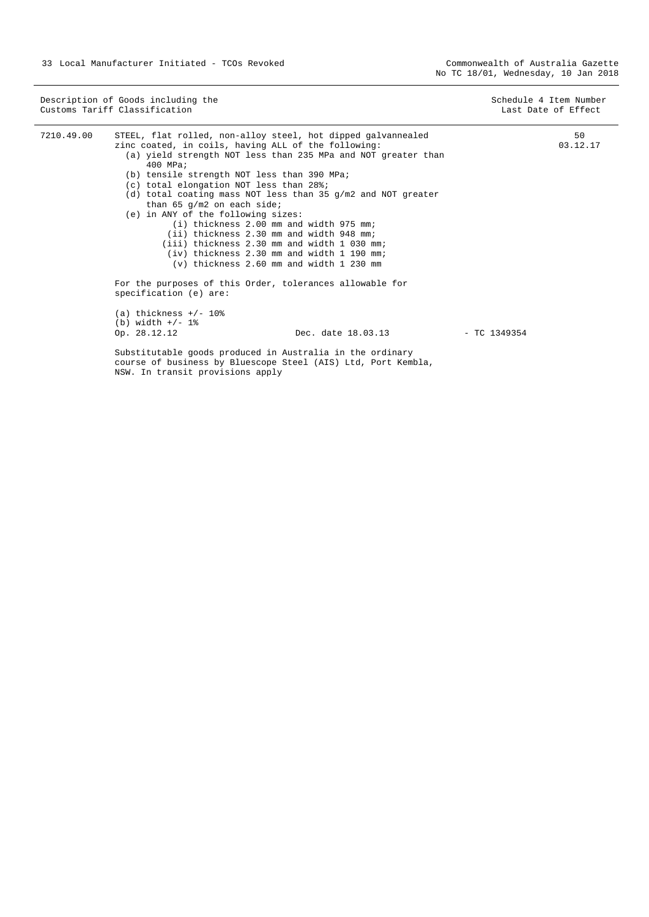Description of Goods including the Schedule 4 Item Number (Schedule 4 Item Number (Schedule 4 Item Number (Schedule 4 Item Number (Schedule 4 Item Number (Schedule 4 Item Number (Schedule 4 Item Number (Schedule 4 Item Num Customs Tariff Classification **Last Date of Effect** Customs Tariff Classification

| 7210.49.00 | STEEL, flat rolled, non-alloy steel, hot dipped galvannealed<br>zinc coated, in coils, having ALL of the following:                                            | 50<br>03.12.17 |
|------------|----------------------------------------------------------------------------------------------------------------------------------------------------------------|----------------|
|            | (a) yield strength NOT less than 235 MPa and NOT greater than                                                                                                  |                |
|            | 400 MPa;                                                                                                                                                       |                |
|            | (b) tensile strength NOT less than 390 MPa;                                                                                                                    |                |
|            | (c) total elongation NOT less than 28%;                                                                                                                        |                |
|            | (d) total coating mass NOT less than 35 g/m2 and NOT greater                                                                                                   |                |
|            | than 65 $q/m2$ on each side;                                                                                                                                   |                |
|            | (e) in ANY of the following sizes:                                                                                                                             |                |
|            | $(i)$ thickness 2.00 mm and width 975 mm;                                                                                                                      |                |
|            | (ii) thickness 2.30 mm and width 948 mm;                                                                                                                       |                |
|            | (iii) thickness 2.30 mm and width 1 030 mm;                                                                                                                    |                |
|            | $(iv)$ thickness 2.30 mm and width 1 190 mm;                                                                                                                   |                |
|            | $(v)$ thickness 2.60 mm and width 1 230 mm                                                                                                                     |                |
|            | For the purposes of this Order, tolerances allowable for                                                                                                       |                |
|            | specification (e) are:                                                                                                                                         |                |
|            | (a) thickness $+/- 108$                                                                                                                                        |                |
|            | (b) width $+/- 1$ %                                                                                                                                            |                |
|            | Dec. date 18.03.13<br>Op. 28.12.12<br>$-$ TC 1349354                                                                                                           |                |
|            | Substitutable goods produced in Australia in the ordinary<br>course of business by Bluescope Steel (AIS) Ltd, Port Kembla,<br>NSW. In transit provisions apply |                |
|            |                                                                                                                                                                |                |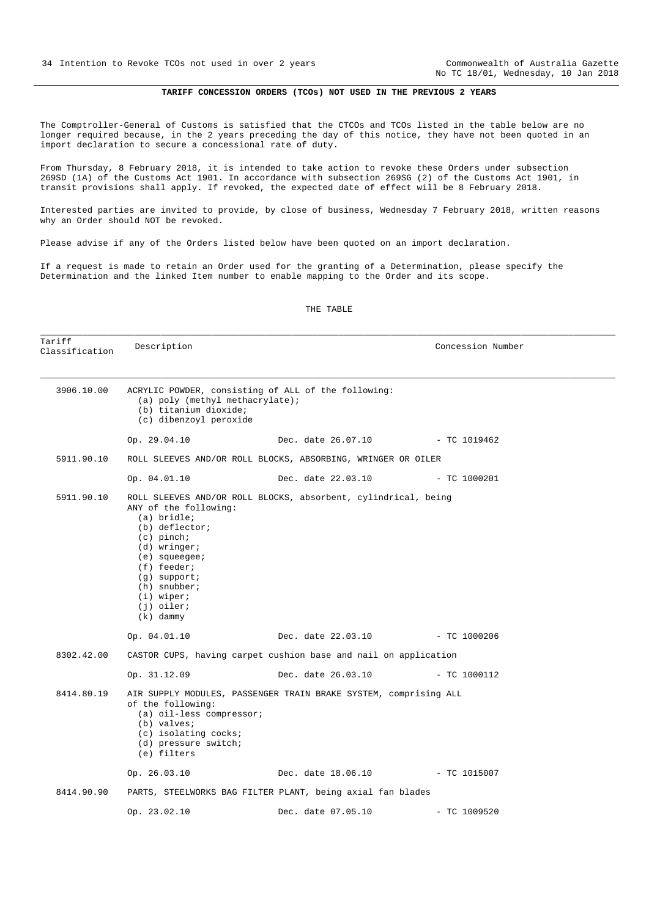No TC 18/01, Wednesday, 10 Jan 2018

#### **TARIFF CONCESSION ORDERS (TCOs) NOT USED IN THE PREVIOUS 2 YEARS**

<span id="page-33-0"></span>The Comptroller-General of Customs is satisfied that the CTCOs and TCOs listed in the table below are no longer required because, in the 2 years preceding the day of this notice, they have not been quoted in an import declaration to secure a concessional rate of duty.

From Thursday, 8 February 2018, it is intended to take action to revoke these Orders under subsection 269SD (1A) of the Customs Act 1901. In accordance with subsection 269SG (2) of the Customs Act 1901, in transit provisions shall apply. If revoked, the expected date of effect will be 8 February 2018.

Interested parties are invited to provide, by close of business, Wednesday 7 February 2018, written reasons why an Order should NOT be revoked.

Please advise if any of the Orders listed below have been quoted on an import declaration.

If a request is made to retain an Order used for the granting of a Determination, please specify the Determination and the linked Item number to enable mapping to the Order and its scope.

| Tariff<br>Classification | Description                                                                                                                                                                                                                                                                       |                                 | Concession Number |  |  |
|--------------------------|-----------------------------------------------------------------------------------------------------------------------------------------------------------------------------------------------------------------------------------------------------------------------------------|---------------------------------|-------------------|--|--|
| 3906.10.00               | ACRYLIC POWDER, consisting of ALL of the following:<br>(a) poly (methyl methacrylate);<br>(b) titanium dioxide;<br>(c) dibenzoyl peroxide                                                                                                                                         |                                 |                   |  |  |
|                          | Op. 29.04.10                                                                                                                                                                                                                                                                      | Dec. date 26.07.10 - TC 1019462 |                   |  |  |
| 5911.90.10               | ROLL SLEEVES AND/OR ROLL BLOCKS, ABSORBING, WRINGER OR OILER                                                                                                                                                                                                                      |                                 |                   |  |  |
|                          | Op. 04.01.10                                                                                                                                                                                                                                                                      | Dec. date 22.03.10              | $-$ TC 1000201    |  |  |
| 5911.90.10               | ROLL SLEEVES AND/OR ROLL BLOCKS, absorbent, cylindrical, being<br>ANY of the following:<br>(a) bridle;<br>$(b)$ deflector;<br>$(c)$ pinch;<br>$(d)$ wringer;<br>$(e)$ squeegee;<br>(f) feeder;<br>$(g)$ support;<br>$(h)$ snubber;<br>$(i)$ wiper;<br>$(j)$ oiler;<br>$(k)$ dammy |                                 |                   |  |  |
|                          | Op. 04.01.10                                                                                                                                                                                                                                                                      | Dec. date 22.03.10 - TC 1000206 |                   |  |  |
| 8302.42.00               | CASTOR CUPS, having carpet cushion base and nail on application                                                                                                                                                                                                                   |                                 |                   |  |  |
|                          | Op. 31.12.09                                                                                                                                                                                                                                                                      | Dec. date 26.03.10              | $-$ TC 1000112    |  |  |
| 8414.80.19               | AIR SUPPLY MODULES, PASSENGER TRAIN BRAKE SYSTEM, comprising ALL<br>of the following:<br>(a) oil-less compressor;<br>(b) valves;<br>(c) isolating cocks;<br>(d) pressure switch;<br>(e) filters                                                                                   |                                 |                   |  |  |
|                          | Op. 26.03.10                                                                                                                                                                                                                                                                      | Dec. date 18.06.10 - TC 1015007 |                   |  |  |
| 8414.90.90               | PARTS, STEELWORKS BAG FILTER PLANT, being axial fan blades                                                                                                                                                                                                                        |                                 |                   |  |  |
|                          | Op. 23.02.10                                                                                                                                                                                                                                                                      | Dec. date 07.05.10              | $-$ TC 1009520    |  |  |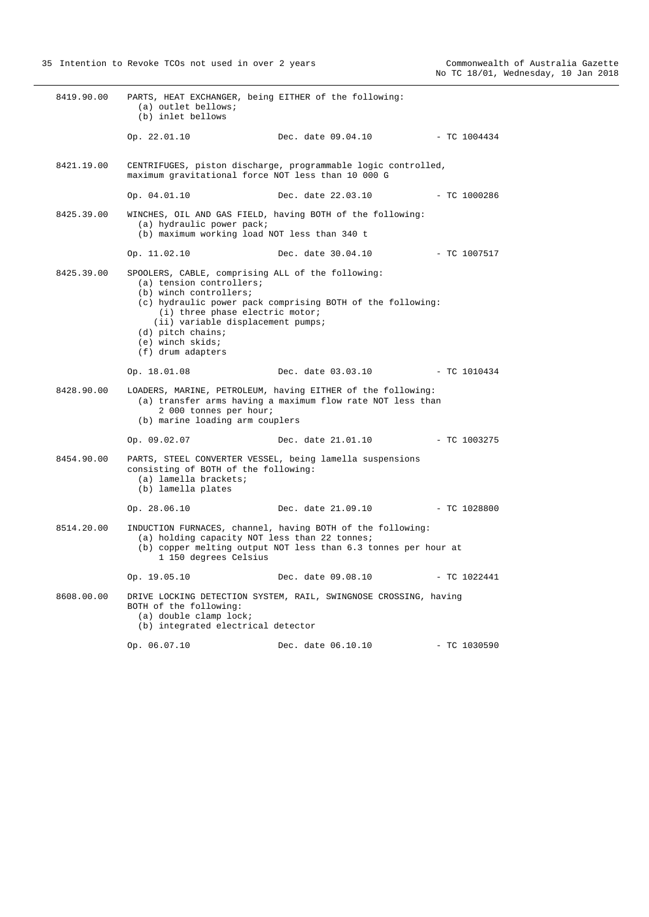| 8419.90.00 | PARTS, HEAT EXCHANGER, being EITHER of the following:<br>(a) outlet bellows;<br>(b) inlet bellows                                                                                                                                               |                                                                                                                              |                |
|------------|-------------------------------------------------------------------------------------------------------------------------------------------------------------------------------------------------------------------------------------------------|------------------------------------------------------------------------------------------------------------------------------|----------------|
|            | Op. 22.01.10                                                                                                                                                                                                                                    | Dec. date 09.04.10                                                                                                           | $-$ TC 1004434 |
| 8421.19.00 | maximum gravitational force NOT less than 10 000 G                                                                                                                                                                                              | CENTRIFUGES, piston discharge, programmable logic controlled,                                                                |                |
|            | Op. 04.01.10                                                                                                                                                                                                                                    | Dec. date 22.03.10                                                                                                           | $- TC 1000286$ |
| 8425.39.00 | (a) hydraulic power pack;<br>(b) maximum working load NOT less than 340 t                                                                                                                                                                       | WINCHES, OIL AND GAS FIELD, having BOTH of the following:                                                                    |                |
|            | Op. 11.02.10                                                                                                                                                                                                                                    | Dec. date 30.04.10 - TC 1007517                                                                                              |                |
| 8425.39.00 | SPOOLERS, CABLE, comprising ALL of the following:<br>(a) tension controllers;<br>(b) winch controllers;<br>(i) three phase electric motor;<br>(ii) variable displacement pumps;<br>$(d)$ pitch chains;<br>(e) winch skids;<br>(f) drum adapters | (c) hydraulic power pack comprising BOTH of the following:                                                                   |                |
|            | Op. 18.01.08                                                                                                                                                                                                                                    | Dec. date 03.03.10                                                                                                           | $-$ TC 1010434 |
| 8428.90.00 | 2 000 tonnes per hour;<br>(b) marine loading arm couplers                                                                                                                                                                                       | LOADERS, MARINE, PETROLEUM, having EITHER of the following:<br>(a) transfer arms having a maximum flow rate NOT less than    |                |
|            | Op. 09.02.07                                                                                                                                                                                                                                    | Dec. date 21.01.10                                                                                                           | - TC 1003275   |
| 8454.90.00 | consisting of BOTH of the following:<br>(a) lamella brackets;<br>(b) lamella plates                                                                                                                                                             | PARTS, STEEL CONVERTER VESSEL, being lamella suspensions                                                                     |                |
|            | Op. 28.06.10                                                                                                                                                                                                                                    | Dec. date 21.09.10                                                                                                           | $-$ TC 1028800 |
| 8514.20.00 | (a) holding capacity NOT less than 22 tonnes;<br>1 150 degrees Celsius                                                                                                                                                                          | INDUCTION FURNACES, channel, having BOTH of the following:<br>(b) copper melting output NOT less than 6.3 tonnes per hour at |                |
|            | Op. 19.05.10                                                                                                                                                                                                                                    | Dec. date 09.08.10                                                                                                           | - TC 1022441   |
| 8608.00.00 | BOTH of the following:<br>(a) double clamp lock;<br>(b) integrated electrical detector                                                                                                                                                          | DRIVE LOCKING DETECTION SYSTEM, RAIL, SWINGNOSE CROSSING, having                                                             |                |
|            | Op. 06.07.10                                                                                                                                                                                                                                    | Dec. date 06.10.10                                                                                                           | - TC 1030590   |
|            |                                                                                                                                                                                                                                                 |                                                                                                                              |                |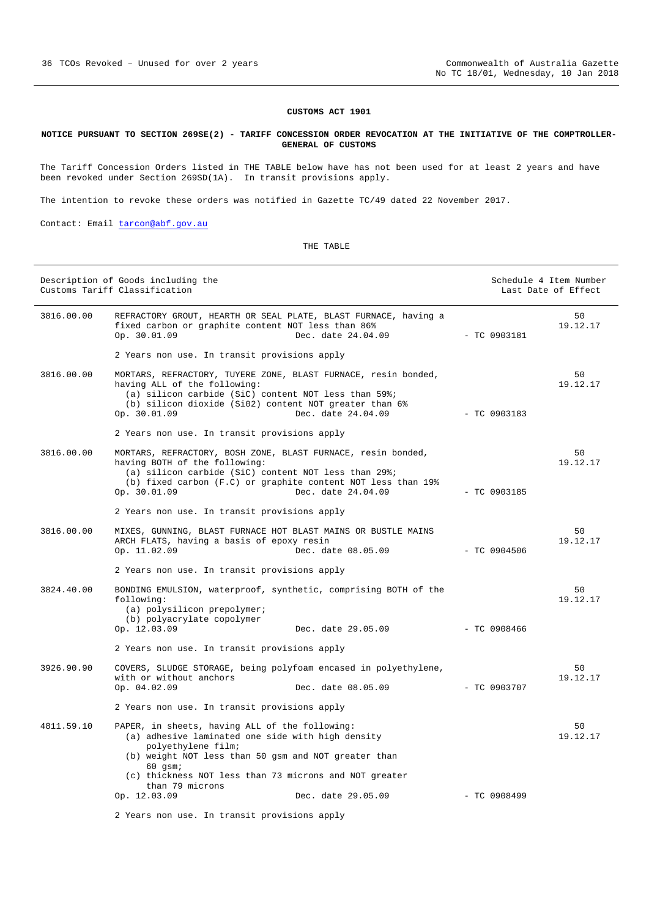#### **CUSTOMS ACT 1901**

#### <span id="page-35-0"></span>**NOTICE PURSUANT TO SECTION 269SE(2) - TARIFF CONCESSION ORDER REVOCATION AT THE INITIATIVE OF THE COMPTROLLER-GENERAL OF CUSTOMS**

The Tariff Concession Orders listed in THE TABLE below have has not been used for at least 2 years and have been revoked under Section 269SD(1A). In transit provisions apply.

The intention to revoke these orders was notified in Gazette TC/49 dated 22 November 2017.

Contact: Email [tarcon@abf.gov.au](mailto:tarcon@abf.gov.au) 

| Description of Goods including the<br>Customs Tariff Classification |                                                                                                                                                                                                                                                                             |                                     | Schedule 4 Item Number<br>Last Date of Effect |                |
|---------------------------------------------------------------------|-----------------------------------------------------------------------------------------------------------------------------------------------------------------------------------------------------------------------------------------------------------------------------|-------------------------------------|-----------------------------------------------|----------------|
| 3816.00.00                                                          | REFRACTORY GROUT, HEARTH OR SEAL PLATE, BLAST FURNACE, having a<br>fixed carbon or graphite content NOT less than 86%<br>Op. 30.01.09                                                                                                                                       | Dec. date 24.04.09<br>$-TC 0903181$ |                                               | 50<br>19.12.17 |
|                                                                     | 2 Years non use. In transit provisions apply                                                                                                                                                                                                                                |                                     |                                               |                |
| 3816.00.00                                                          | MORTARS, REFRACTORY, TUYERE ZONE, BLAST FURNACE, resin bonded,<br>having ALL of the following:<br>(a) silicon carbide (SiC) content NOT less than 59%;<br>(b) silicon dioxide (Si02) content NOT greater than 6%<br>Op. 30.01.09                                            | Dec. date 24.04.09                  | $-$ TC 0903183                                | 50<br>19.12.17 |
|                                                                     | 2 Years non use. In transit provisions apply                                                                                                                                                                                                                                |                                     |                                               |                |
| 3816.00.00                                                          | MORTARS, REFRACTORY, BOSH ZONE, BLAST FURNACE, resin bonded,<br>having BOTH of the following:<br>(a) silicon carbide (SiC) content NOT less than 29%;<br>(b) fixed carbon (F.C) or graphite content NOT less than 19%<br>Op. 30.01.09                                       | Dec. date 24.04.09                  | $-$ TC 0903185                                | 50<br>19.12.17 |
|                                                                     | 2 Years non use. In transit provisions apply                                                                                                                                                                                                                                |                                     |                                               |                |
| 3816.00.00                                                          | MIXES, GUNNING, BLAST FURNACE HOT BLAST MAINS OR BUSTLE MAINS<br>ARCH FLATS, having a basis of epoxy resin<br>Op. 11.02.09                                                                                                                                                  | Dec. date 08.05.09                  | $-$ TC 0904506                                | 50<br>19.12.17 |
|                                                                     | 2 Years non use. In transit provisions apply                                                                                                                                                                                                                                |                                     |                                               |                |
| 3824.40.00                                                          | BONDING EMULSION, waterproof, synthetic, comprising BOTH of the<br>following:<br>(a) polysilicon prepolymer;<br>(b) polyacrylate copolymer<br>Op. 12.03.09                                                                                                                  | Dec. date 29.05.09                  | - TC 0908466                                  | 50<br>19.12.17 |
|                                                                     | 2 Years non use. In transit provisions apply                                                                                                                                                                                                                                |                                     |                                               |                |
| 3926.90.90                                                          | COVERS, SLUDGE STORAGE, being polyfoam encased in polyethylene,<br>with or without anchors<br>Op. 04.02.09                                                                                                                                                                  | Dec. date 08.05.09                  | - TC 0903707                                  | 50<br>19.12.17 |
|                                                                     | 2 Years non use. In transit provisions apply                                                                                                                                                                                                                                |                                     |                                               |                |
| 4811.59.10                                                          | PAPER, in sheets, having ALL of the following:<br>(a) adhesive laminated one side with high density<br>polyethylene film;<br>(b) weight NOT less than 50 gsm and NOT greater than<br>$60$ qsm;<br>(c) thickness NOT less than 73 microns and NOT greater<br>than 79 microns |                                     |                                               | 50<br>19.12.17 |
|                                                                     | Op. 12.03.09                                                                                                                                                                                                                                                                | Dec. date 29.05.09                  | $-$ TC 0908499                                |                |
|                                                                     | 2 Years non use. In transit provisions apply                                                                                                                                                                                                                                |                                     |                                               |                |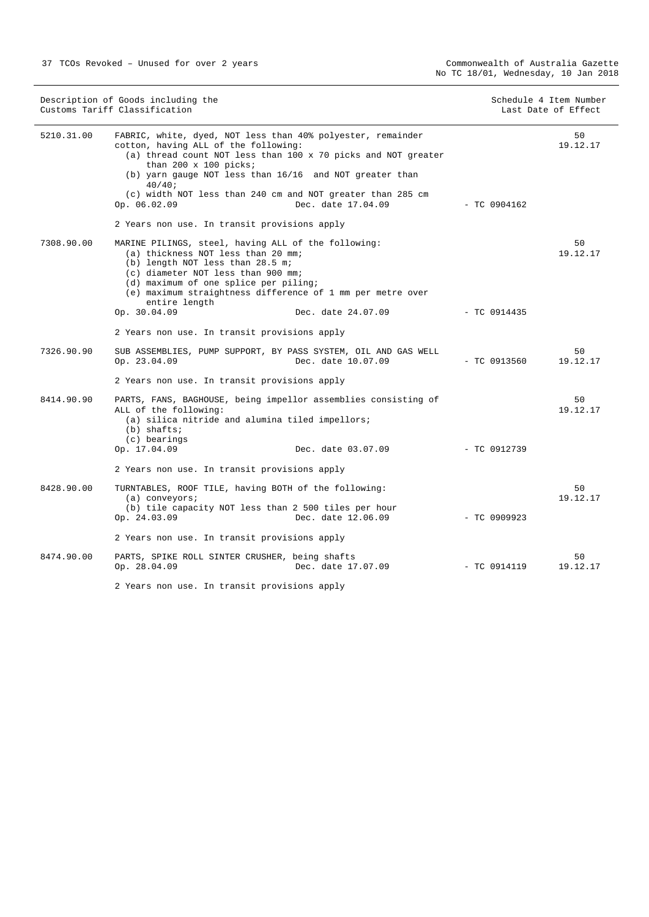| Description of Goods including the<br>Customs Tariff Classification |                                                                                                                                                                                                                                                                                                                                                                                                    | Schedule 4 Item Number<br>Last Date of Effect |                |                |
|---------------------------------------------------------------------|----------------------------------------------------------------------------------------------------------------------------------------------------------------------------------------------------------------------------------------------------------------------------------------------------------------------------------------------------------------------------------------------------|-----------------------------------------------|----------------|----------------|
| 5210.31.00                                                          | FABRIC, white, dyed, NOT less than 40% polyester, remainder<br>cotton, having ALL of the following:<br>(a) thread count NOT less than 100 x 70 picks and NOT greater<br>than 200 $x$ 100 picks;<br>(b) yarn gauge NOT less than 16/16 and NOT greater than<br>40/40;<br>(c) width NOT less than 240 cm and NOT greater than 285 cm<br>Op. 06.02.09<br>2 Years non use. In transit provisions apply | Dec. date 17.04.09                            | $-$ TC 0904162 | 50<br>19.12.17 |
| 7308.90.00                                                          | MARINE PILINGS, steel, having ALL of the following:<br>(a) thickness NOT less than 20 mm;<br>(b) length NOT less than 28.5 m;<br>(c) diameter NOT less than 900 mm;<br>(d) maximum of one splice per piling;<br>(e) maximum straightness difference of 1 mm per metre over<br>entire length<br>Op. 30.04.09                                                                                        | Dec. date 24.07.09                            | $-$ TC 0914435 | 50<br>19.12.17 |
|                                                                     | 2 Years non use. In transit provisions apply                                                                                                                                                                                                                                                                                                                                                       |                                               |                |                |
| 7326.90.90                                                          | SUB ASSEMBLIES, PUMP SUPPORT, BY PASS SYSTEM, OIL AND GAS WELL<br>Op. 23.04.09                                                                                                                                                                                                                                                                                                                     | Dec. date 10.07.09                            | - TC 0913560   | 50<br>19.12.17 |
|                                                                     | 2 Years non use. In transit provisions apply                                                                                                                                                                                                                                                                                                                                                       |                                               |                |                |
| 8414.90.90                                                          | PARTS, FANS, BAGHOUSE, being impellor assemblies consisting of<br>ALL of the following:<br>(a) silica nitride and alumina tiled impellors;<br>$(b)$ shafts;<br>(c) bearings<br>Op. 17.04.09                                                                                                                                                                                                        | Dec. date 03.07.09                            | - TC 0912739   | 50<br>19.12.17 |
|                                                                     | 2 Years non use. In transit provisions apply                                                                                                                                                                                                                                                                                                                                                       |                                               |                |                |
| 8428.90.00                                                          | TURNTABLES, ROOF TILE, having BOTH of the following:<br>$(a)$ conveyors;<br>(b) tile capacity NOT less than 2 500 tiles per hour<br>Op. 24.03.09                                                                                                                                                                                                                                                   | Dec. date 12.06.09                            | $-$ TC 0909923 | 50<br>19.12.17 |
|                                                                     | 2 Years non use. In transit provisions apply                                                                                                                                                                                                                                                                                                                                                       |                                               |                |                |
| 8474.90.00                                                          | PARTS, SPIKE ROLL SINTER CRUSHER, being shafts<br>Op. 28.04.09                                                                                                                                                                                                                                                                                                                                     | Dec. date 17.07.09                            | $-$ TC 0914119 | 50<br>19.12.17 |
|                                                                     | 2 Years non use. In transit provisions apply                                                                                                                                                                                                                                                                                                                                                       |                                               |                |                |